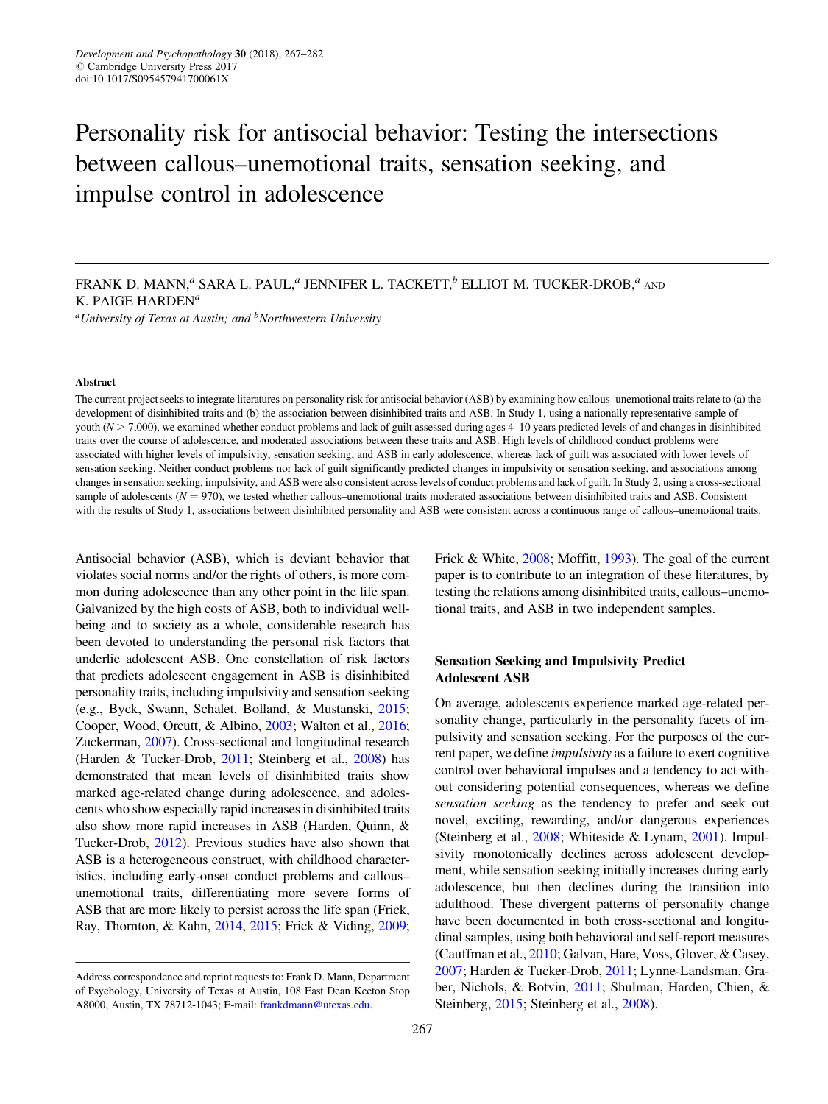# Personality risk for antisocial behavior: Testing the intersections between callous–unemotional traits, sensation seeking, and impulse control in adolescence

 ${}^a$ University of Texas at Austin; and  ${}^b$ Northwestern University

#### Abstract

The current project seeks to integrate literatures on personality risk for antisocial behavior (ASB) by examining how callous–unemotional traits relate to (a) the development of disinhibited traits and (b) the association between disinhibited traits and ASB. In Study 1, using a nationally representative sample of youth  $(N > 7,000)$ , we examined whether conduct problems and lack of guilt assessed during ages 4–10 years predicted levels of and changes in disinhibited traits over the course of adolescence, and moderated associations between these traits and ASB. High levels of childhood conduct problems were associated with higher levels of impulsivity, sensation seeking, and ASB in early adolescence, whereas lack of guilt was associated with lower levels of sensation seeking. Neither conduct problems nor lack of guilt significantly predicted changes in impulsivity or sensation seeking, and associations among changes in sensation seeking, impulsivity, and ASB were also consistent across levels of conduct problems and lack of guilt. In Study 2, using a cross-sectional sample of adolescents ( $N = 970$ ), we tested whether callous–unemotional traits moderated associations between disinhibited traits and ASB. Consistent with the results of Study 1, associations between disinhibited personality and ASB were consistent across a continuous range of callous–unemotional traits.

Antisocial behavior (ASB), which is deviant behavior that violates social norms and/or the rights of others, is more common during adolescence than any other point in the life span. Galvanized by the high costs of ASB, both to individual wellbeing and to society as a whole, considerable research has been devoted to understanding the personal risk factors that underlie adolescent ASB. One constellation of risk factors that predicts adolescent engagement in ASB is disinhibited personality traits, including impulsivity and sensation seeking (e.g., Byck, Swann, Schalet, Bolland, & Mustanski, [2015](#page-14-0); Cooper, Wood, Orcutt, & Albino, [2003](#page-14-0); Walton et al., [2016](#page-15-0); Zuckerman, [2007\)](#page-15-0). Cross-sectional and longitudinal research (Harden & Tucker-Drob, [2011;](#page-14-0) Steinberg et al., [2008\)](#page-15-0) has demonstrated that mean levels of disinhibited traits show marked age-related change during adolescence, and adolescents who show especially rapid increases in disinhibited traits also show more rapid increases in ASB (Harden, Quinn, & Tucker-Drob, [2012\)](#page-14-0). Previous studies have also shown that ASB is a heterogeneous construct, with childhood characteristics, including early-onset conduct problems and callous– unemotional traits, differentiating more severe forms of ASB that are more likely to persist across the life span (Frick, Ray, Thornton, & Kahn, [2014,](#page-14-0) [2015](#page-14-0); Frick & Viding, [2009](#page-14-0);

Frick & White, [2008;](#page-14-0) Moffitt, [1993](#page-14-0)). The goal of the current paper is to contribute to an integration of these literatures, by testing the relations among disinhibited traits, callous–unemotional traits, and ASB in two independent samples.

# Sensation Seeking and Impulsivity Predict Adolescent ASB

On average, adolescents experience marked age-related personality change, particularly in the personality facets of impulsivity and sensation seeking. For the purposes of the current paper, we define impulsivity as a failure to exert cognitive control over behavioral impulses and a tendency to act without considering potential consequences, whereas we define sensation seeking as the tendency to prefer and seek out novel, exciting, rewarding, and/or dangerous experiences (Steinberg et al., [2008](#page-15-0); Whiteside & Lynam, [2001](#page-15-0)). Impulsivity monotonically declines across adolescent development, while sensation seeking initially increases during early adolescence, but then declines during the transition into adulthood. These divergent patterns of personality change have been documented in both cross-sectional and longitudinal samples, using both behavioral and self-report measures (Cauffman et al., [2010;](#page-14-0) Galvan, Hare, Voss, Glover, & Casey, [2007;](#page-14-0) Harden & Tucker-Drob, [2011](#page-14-0); Lynne-Landsman, Graber, Nichols, & Botvin, [2011;](#page-14-0) Shulman, Harden, Chien, & Steinberg, [2015](#page-15-0); Steinberg et al., [2008](#page-15-0)).

FRANK D. MANN, $a$  SARA L. PAUL, $a$  JENNIFER L. TACKETT, $b$  ELLIOT M. TUCKER-DROB, $a$  and K. PAIGE HARDEN<sup>a</sup>

Address correspondence and reprint requests to: Frank D. Mann, Department of Psychology, University of Texas at Austin, 108 East Dean Keeton Stop A8000, Austin, TX 78712-1043; E-mail: [frankdmann@utexas.edu](mailto:frankdmann@utexas.edu).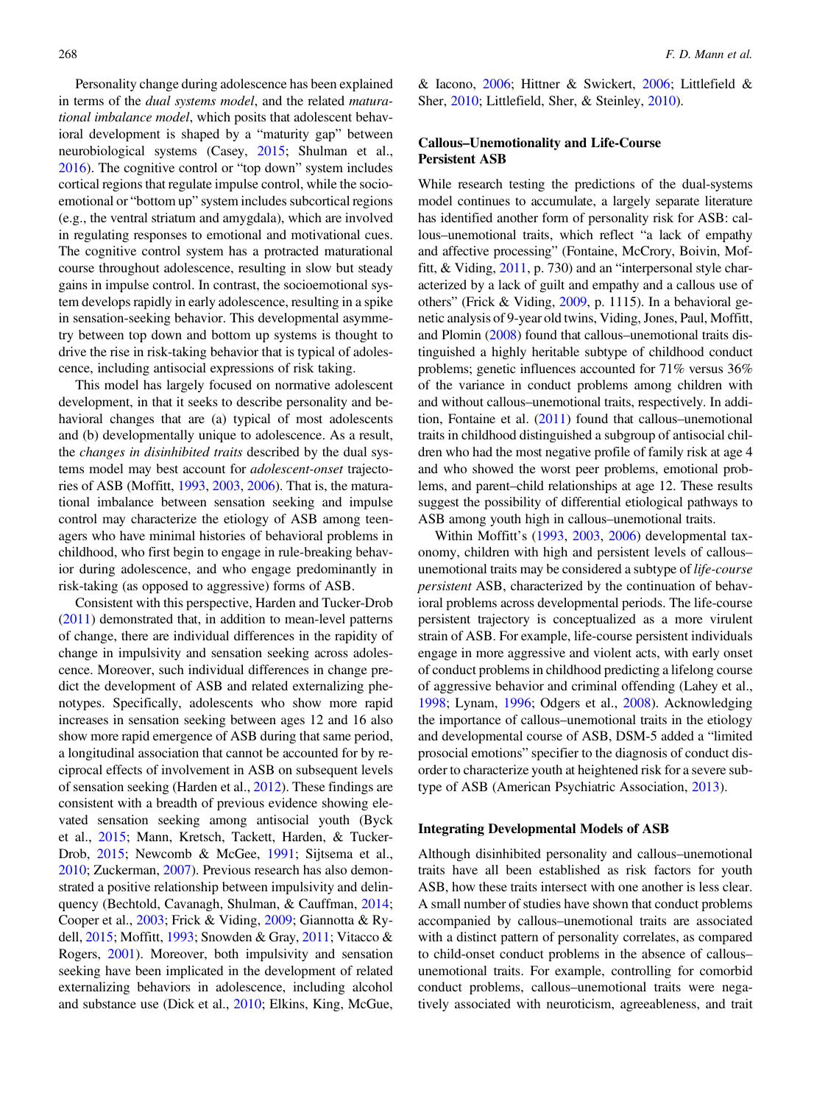Personality change during adolescence has been explained in terms of the dual systems model, and the related maturational imbalance model, which posits that adolescent behavioral development is shaped by a "maturity gap" between neurobiological systems (Casey, [2015;](#page-14-0) Shulman et al., [2016](#page-15-0)). The cognitive control or "top down" system includes cortical regions that regulate impulse control, while the socioemotional or "bottom up" system includes subcortical regions (e.g., the ventral striatum and amygdala), which are involved in regulating responses to emotional and motivational cues. The cognitive control system has a protracted maturational course throughout adolescence, resulting in slow but steady gains in impulse control. In contrast, the socioemotional system develops rapidly in early adolescence, resulting in a spike in sensation-seeking behavior. This developmental asymmetry between top down and bottom up systems is thought to drive the rise in risk-taking behavior that is typical of adolescence, including antisocial expressions of risk taking.

This model has largely focused on normative adolescent development, in that it seeks to describe personality and behavioral changes that are (a) typical of most adolescents and (b) developmentally unique to adolescence. As a result, the changes in disinhibited traits described by the dual systems model may best account for adolescent-onset trajectories of ASB (Moffitt, [1993,](#page-14-0) [2003](#page-15-0), [2006](#page-15-0)). That is, the maturational imbalance between sensation seeking and impulse control may characterize the etiology of ASB among teenagers who have minimal histories of behavioral problems in childhood, who first begin to engage in rule-breaking behavior during adolescence, and who engage predominantly in risk-taking (as opposed to aggressive) forms of ASB.

Consistent with this perspective, Harden and Tucker-Drob [\(2011](#page-14-0)) demonstrated that, in addition to mean-level patterns of change, there are individual differences in the rapidity of change in impulsivity and sensation seeking across adolescence. Moreover, such individual differences in change predict the development of ASB and related externalizing phenotypes. Specifically, adolescents who show more rapid increases in sensation seeking between ages 12 and 16 also show more rapid emergence of ASB during that same period, a longitudinal association that cannot be accounted for by reciprocal effects of involvement in ASB on subsequent levels of sensation seeking (Harden et al., [2012\)](#page-14-0). These findings are consistent with a breadth of previous evidence showing elevated sensation seeking among antisocial youth (Byck et al., [2015;](#page-14-0) Mann, Kretsch, Tackett, Harden, & Tucker-Drob, [2015;](#page-14-0) Newcomb & McGee, [1991;](#page-15-0) Sijtsema et al., [2010](#page-15-0); Zuckerman, [2007](#page-15-0)). Previous research has also demonstrated a positive relationship between impulsivity and delinquency (Bechtold, Cavanagh, Shulman, & Cauffman, [2014](#page-13-0); Cooper et al., [2003;](#page-14-0) Frick & Viding, [2009;](#page-14-0) Giannotta & Rydell, [2015](#page-14-0); Moffitt, [1993](#page-14-0); Snowden & Gray, [2011;](#page-15-0) Vitacco & Rogers, [2001](#page-15-0)). Moreover, both impulsivity and sensation seeking have been implicated in the development of related externalizing behaviors in adolescence, including alcohol and substance use (Dick et al., [2010;](#page-14-0) Elkins, King, McGue,

& Iacono, [2006](#page-14-0); Hittner & Swickert, [2006;](#page-14-0) Littlefield & Sher, [2010](#page-14-0); Littlefield, Sher, & Steinley, [2010\)](#page-14-0).

# Callous–Unemotionality and Life-Course Persistent ASB

While research testing the predictions of the dual-systems model continues to accumulate, a largely separate literature has identified another form of personality risk for ASB: callous–unemotional traits, which reflect "a lack of empathy and affective processing" (Fontaine, McCrory, Boivin, Moffitt, & Viding, [2011](#page-14-0), p. 730) and an "interpersonal style characterized by a lack of guilt and empathy and a callous use of others" (Frick & Viding, [2009](#page-14-0), p. 1115). In a behavioral genetic analysis of 9-year old twins, Viding, Jones, Paul, Moffitt, and Plomin [\(2008\)](#page-15-0) found that callous–unemotional traits distinguished a highly heritable subtype of childhood conduct problems; genetic influences accounted for 71% versus 36% of the variance in conduct problems among children with and without callous–unemotional traits, respectively. In addition, Fontaine et al. [\(2011](#page-14-0)) found that callous–unemotional traits in childhood distinguished a subgroup of antisocial children who had the most negative profile of family risk at age 4 and who showed the worst peer problems, emotional problems, and parent–child relationships at age 12. These results suggest the possibility of differential etiological pathways to ASB among youth high in callous–unemotional traits.

Within Moffitt's ([1993,](#page-14-0) [2003,](#page-15-0) [2006\)](#page-15-0) developmental taxonomy, children with high and persistent levels of callous– unemotional traits may be considered a subtype of life-course persistent ASB, characterized by the continuation of behavioral problems across developmental periods. The life-course persistent trajectory is conceptualized as a more virulent strain of ASB. For example, life-course persistent individuals engage in more aggressive and violent acts, with early onset of conduct problems in childhood predicting a lifelong course of aggressive behavior and criminal offending (Lahey et al., [1998](#page-14-0); Lynam, [1996](#page-14-0); Odgers et al., [2008](#page-15-0)). Acknowledging the importance of callous–unemotional traits in the etiology and developmental course of ASB, DSM-5 added a "limited prosocial emotions" specifier to the diagnosis of conduct disorder to characterize youth at heightened risk for a severe subtype of ASB (American Psychiatric Association, [2013](#page-13-0)).

# Integrating Developmental Models of ASB

Although disinhibited personality and callous–unemotional traits have all been established as risk factors for youth ASB, how these traits intersect with one another is less clear. A small number of studies have shown that conduct problems accompanied by callous–unemotional traits are associated with a distinct pattern of personality correlates, as compared to child-onset conduct problems in the absence of callous– unemotional traits. For example, controlling for comorbid conduct problems, callous–unemotional traits were negatively associated with neuroticism, agreeableness, and trait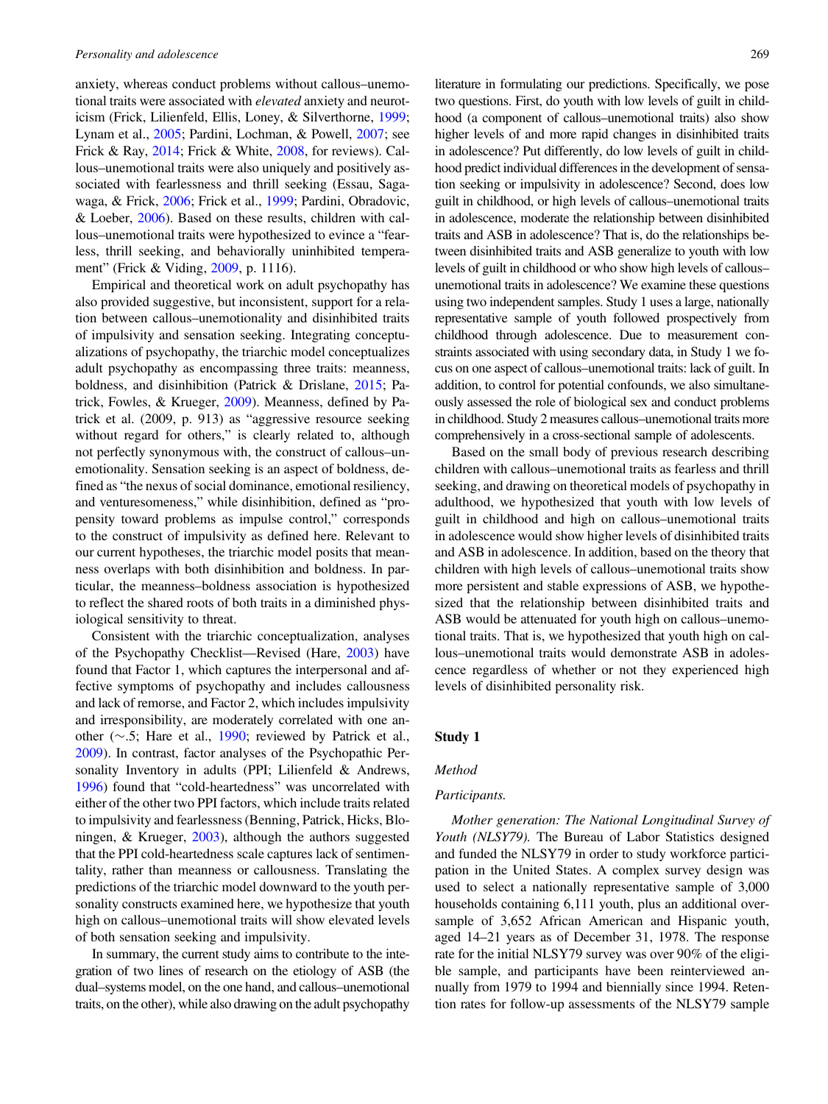anxiety, whereas conduct problems without callous–unemotional traits were associated with elevated anxiety and neuroticism (Frick, Lilienfeld, Ellis, Loney, & Silverthorne, [1999](#page-14-0); Lynam et al., [2005](#page-14-0); Pardini, Lochman, & Powell, [2007;](#page-15-0) see Frick & Ray, [2014](#page-14-0); Frick & White, [2008](#page-14-0), for reviews). Callous–unemotional traits were also uniquely and positively associated with fearlessness and thrill seeking (Essau, Sagawaga, & Frick, [2006;](#page-14-0) Frick et al., [1999;](#page-14-0) Pardini, Obradovic, & Loeber, [2006\)](#page-15-0). Based on these results, children with callous–unemotional traits were hypothesized to evince a "fearless, thrill seeking, and behaviorally uninhibited temperament" (Frick & Viding, [2009](#page-14-0), p. 1116).

Empirical and theoretical work on adult psychopathy has also provided suggestive, but inconsistent, support for a relation between callous–unemotionality and disinhibited traits of impulsivity and sensation seeking. Integrating conceptualizations of psychopathy, the triarchic model conceptualizes adult psychopathy as encompassing three traits: meanness, boldness, and disinhibition (Patrick & Drislane, [2015](#page-15-0); Patrick, Fowles, & Krueger, [2009\)](#page-15-0). Meanness, defined by Patrick et al. (2009, p. 913) as "aggressive resource seeking without regard for others," is clearly related to, although not perfectly synonymous with, the construct of callous–unemotionality. Sensation seeking is an aspect of boldness, defined as "the nexus of social dominance, emotional resiliency, and venturesomeness," while disinhibition, defined as "propensity toward problems as impulse control," corresponds to the construct of impulsivity as defined here. Relevant to our current hypotheses, the triarchic model posits that meanness overlaps with both disinhibition and boldness. In particular, the meanness–boldness association is hypothesized to reflect the shared roots of both traits in a diminished physiological sensitivity to threat.

Consistent with the triarchic conceptualization, analyses of the Psychopathy Checklist—Revised (Hare, [2003](#page-14-0)) have found that Factor 1, which captures the interpersonal and affective symptoms of psychopathy and includes callousness and lack of remorse, and Factor 2, which includes impulsivity and irresponsibility, are moderately correlated with one another  $(\sim 5;$  Hare et al., [1990](#page-14-0); reviewed by Patrick et al., [2009](#page-15-0)). In contrast, factor analyses of the Psychopathic Personality Inventory in adults (PPI; Lilienfeld & Andrews, [1996](#page-14-0)) found that "cold-heartedness" was uncorrelated with either of the other two PPI factors, which include traits related to impulsivity and fearlessness (Benning, Patrick, Hicks, Bloningen, & Krueger, [2003\)](#page-13-0), although the authors suggested that the PPI cold-heartedness scale captures lack of sentimentality, rather than meanness or callousness. Translating the predictions of the triarchic model downward to the youth personality constructs examined here, we hypothesize that youth high on callous–unemotional traits will show elevated levels of both sensation seeking and impulsivity.

In summary, the current study aims to contribute to the integration of two lines of research on the etiology of ASB (the dual–systems model, on the one hand, and callous–unemotional traits, on the other), while also drawing on the adult psychopathy literature in formulating our predictions. Specifically, we pose two questions. First, do youth with low levels of guilt in childhood (a component of callous–unemotional traits) also show higher levels of and more rapid changes in disinhibited traits in adolescence? Put differently, do low levels of guilt in childhood predict individual differences in the development of sensation seeking or impulsivity in adolescence? Second, does low guilt in childhood, or high levels of callous–unemotional traits in adolescence, moderate the relationship between disinhibited traits and ASB in adolescence? That is, do the relationships between disinhibited traits and ASB generalize to youth with low levels of guilt in childhood or who show high levels of callous– unemotional traits in adolescence? We examine these questions using two independent samples. Study 1 uses a large, nationally representative sample of youth followed prospectively from childhood through adolescence. Due to measurement constraints associated with using secondary data, in Study 1 we focus on one aspect of callous–unemotional traits: lack of guilt. In addition, to control for potential confounds, we also simultaneously assessed the role of biological sex and conduct problems in childhood. Study 2 measures callous–unemotional traits more comprehensively in a cross-sectional sample of adolescents.

Based on the small body of previous research describing children with callous–unemotional traits as fearless and thrill seeking, and drawing on theoretical models of psychopathy in adulthood, we hypothesized that youth with low levels of guilt in childhood and high on callous–unemotional traits in adolescence would show higher levels of disinhibited traits and ASB in adolescence. In addition, based on the theory that children with high levels of callous–unemotional traits show more persistent and stable expressions of ASB, we hypothesized that the relationship between disinhibited traits and ASB would be attenuated for youth high on callous–unemotional traits. That is, we hypothesized that youth high on callous–unemotional traits would demonstrate ASB in adolescence regardless of whether or not they experienced high levels of disinhibited personality risk.

## Study 1

## Method

# Participants.

Mother generation: The National Longitudinal Survey of Youth (NLSY79). The Bureau of Labor Statistics designed and funded the NLSY79 in order to study workforce participation in the United States. A complex survey design was used to select a nationally representative sample of 3,000 households containing 6,111 youth, plus an additional oversample of 3,652 African American and Hispanic youth, aged 14–21 years as of December 31, 1978. The response rate for the initial NLSY79 survey was over 90% of the eligible sample, and participants have been reinterviewed annually from 1979 to 1994 and biennially since 1994. Retention rates for follow-up assessments of the NLSY79 sample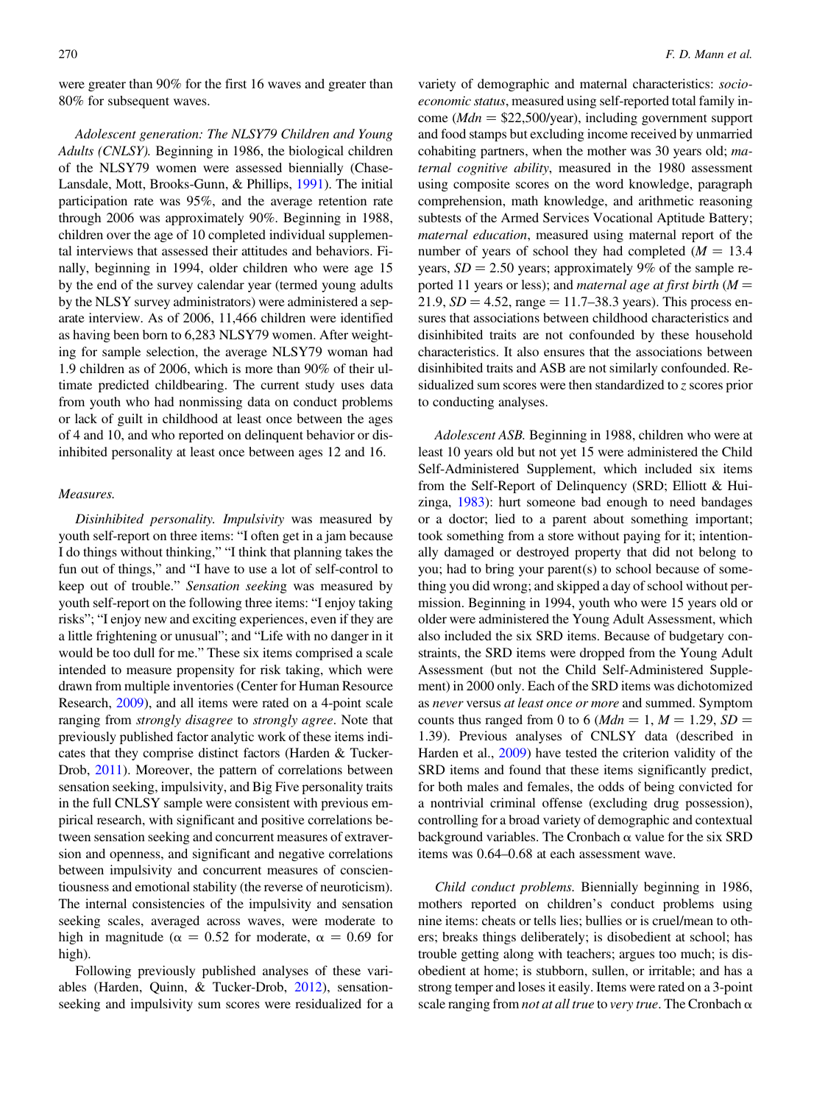were greater than 90% for the first 16 waves and greater than 80% for subsequent waves.

Adolescent generation: The NLSY79 Children and Young Adults (CNLSY). Beginning in 1986, the biological children of the NLSY79 women were assessed biennially (Chase-Lansdale, Mott, Brooks-Gunn, & Phillips, [1991](#page-14-0)). The initial participation rate was 95%, and the average retention rate through 2006 was approximately 90%. Beginning in 1988, children over the age of 10 completed individual supplemental interviews that assessed their attitudes and behaviors. Finally, beginning in 1994, older children who were age 15 by the end of the survey calendar year (termed young adults by the NLSY survey administrators) were administered a separate interview. As of 2006, 11,466 children were identified as having been born to 6,283 NLSY79 women. After weighting for sample selection, the average NLSY79 woman had 1.9 children as of 2006, which is more than 90% of their ultimate predicted childbearing. The current study uses data from youth who had nonmissing data on conduct problems or lack of guilt in childhood at least once between the ages of 4 and 10, and who reported on delinquent behavior or disinhibited personality at least once between ages 12 and 16.

#### Measures.

Disinhibited personality. Impulsivity was measured by youth self-report on three items: "I often get in a jam because I do things without thinking," "I think that planning takes the fun out of things," and "I have to use a lot of self-control to keep out of trouble." Sensation seeking was measured by youth self-report on the following three items: "I enjoy taking risks"; "I enjoy new and exciting experiences, even if they are a little frightening or unusual"; and "Life with no danger in it would be too dull for me." These six items comprised a scale intended to measure propensity for risk taking, which were drawn from multiple inventories (Center for Human Resource Research, [2009](#page-14-0)), and all items were rated on a 4-point scale ranging from strongly disagree to strongly agree. Note that previously published factor analytic work of these items indicates that they comprise distinct factors (Harden & Tucker-Drob, [2011](#page-14-0)). Moreover, the pattern of correlations between sensation seeking, impulsivity, and Big Five personality traits in the full CNLSY sample were consistent with previous empirical research, with significant and positive correlations between sensation seeking and concurrent measures of extraversion and openness, and significant and negative correlations between impulsivity and concurrent measures of conscientiousness and emotional stability (the reverse of neuroticism). The internal consistencies of the impulsivity and sensation seeking scales, averaged across waves, were moderate to high in magnitude ( $\alpha = 0.52$  for moderate,  $\alpha = 0.69$  for high).

Following previously published analyses of these variables (Harden, Quinn, & Tucker-Drob, [2012](#page-14-0)), sensationseeking and impulsivity sum scores were residualized for a

variety of demographic and maternal characteristics: socioeconomic status, measured using self-reported total family income ( $Mdn = $22,500/\text{year}$ ), including government support and food stamps but excluding income received by unmarried cohabiting partners, when the mother was 30 years old; maternal cognitive ability, measured in the 1980 assessment using composite scores on the word knowledge, paragraph comprehension, math knowledge, and arithmetic reasoning subtests of the Armed Services Vocational Aptitude Battery; maternal education, measured using maternal report of the number of years of school they had completed  $(M = 13.4)$ years,  $SD = 2.50$  years; approximately 9% of the sample reported 11 years or less); and *maternal age at first birth*  $(M =$ 21.9,  $SD = 4.52$ , range = 11.7–38.3 years). This process ensures that associations between childhood characteristics and disinhibited traits are not confounded by these household characteristics. It also ensures that the associations between disinhibited traits and ASB are not similarly confounded. Residualized sum scores were then standardized to z scores prior to conducting analyses.

Adolescent ASB. Beginning in 1988, children who were at least 10 years old but not yet 15 were administered the Child Self-Administered Supplement, which included six items from the Self-Report of Delinquency (SRD; Elliott & Huizinga, [1983\)](#page-14-0): hurt someone bad enough to need bandages or a doctor; lied to a parent about something important; took something from a store without paying for it; intentionally damaged or destroyed property that did not belong to you; had to bring your parent(s) to school because of something you did wrong; and skipped a day of school without permission. Beginning in 1994, youth who were 15 years old or older were administered the Young Adult Assessment, which also included the six SRD items. Because of budgetary constraints, the SRD items were dropped from the Young Adult Assessment (but not the Child Self-Administered Supplement) in 2000 only. Each of the SRD items was dichotomized as never versus at least once or more and summed. Symptom counts thus ranged from 0 to 6 ( $Mdn = 1$ ,  $M = 1.29$ ,  $SD =$ 1.39). Previous analyses of CNLSY data (described in Harden et al., [2009\)](#page-14-0) have tested the criterion validity of the SRD items and found that these items significantly predict, for both males and females, the odds of being convicted for a nontrivial criminal offense (excluding drug possession), controlling for a broad variety of demographic and contextual background variables. The Cronbach  $\alpha$  value for the six SRD items was 0.64–0.68 at each assessment wave.

Child conduct problems. Biennially beginning in 1986, mothers reported on children's conduct problems using nine items: cheats or tells lies; bullies or is cruel/mean to others; breaks things deliberately; is disobedient at school; has trouble getting along with teachers; argues too much; is disobedient at home; is stubborn, sullen, or irritable; and has a strong temper and loses it easily. Items were rated on a 3-point scale ranging from not at all true to very true. The Cronbach  $\alpha$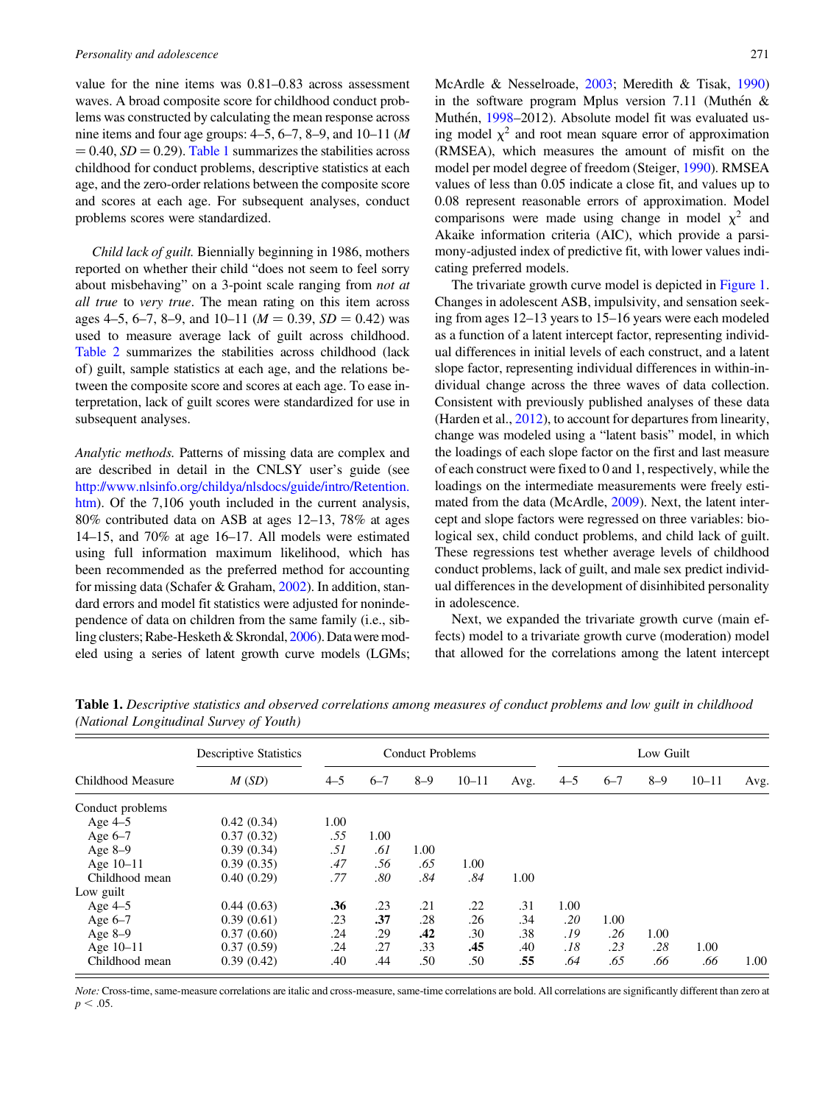value for the nine items was 0.81–0.83 across assessment waves. A broad composite score for childhood conduct problems was constructed by calculating the mean response across nine items and four age groups:  $4-5$ ,  $6-7$ ,  $8-9$ , and  $10-11$  (*M*  $= 0.40, SD = 0.29$ . Table 1 summarizes the stabilities across childhood for conduct problems, descriptive statistics at each age, and the zero-order relations between the composite score and scores at each age. For subsequent analyses, conduct problems scores were standardized.

Child lack of guilt. Biennially beginning in 1986, mothers reported on whether their child "does not seem to feel sorry about misbehaving" on a 3-point scale ranging from not at all true to very true. The mean rating on this item across ages 4–5, 6–7, 8–9, and 10–11 ( $M = 0.39$ ,  $SD = 0.42$ ) was used to measure average lack of guilt across childhood. [Table 2](#page-5-0) summarizes the stabilities across childhood (lack of) guilt, sample statistics at each age, and the relations between the composite score and scores at each age. To ease interpretation, lack of guilt scores were standardized for use in subsequent analyses.

Analytic methods. Patterns of missing data are complex and are described in detail in the CNLSY user's guide (see [http://www.nlsinfo.org/childya/nlsdocs/guide/intro/Retention.](http://www.nlsinfo.org/childya/nlsdocs/guide/intro/Retention.htm) [htm](http://www.nlsinfo.org/childya/nlsdocs/guide/intro/Retention.htm)). Of the 7,106 youth included in the current analysis, 80% contributed data on ASB at ages 12–13, 78% at ages 14–15, and 70% at age 16–17. All models were estimated using full information maximum likelihood, which has been recommended as the preferred method for accounting for missing data (Schafer & Graham, [2002\)](#page-15-0). In addition, standard errors and model fit statistics were adjusted for nonindependence of data on children from the same family (i.e., sibling clusters; Rabe-Hesketh & Skrondal, [2006](#page-15-0)). Datawere modeled using a series of latent growth curve models (LGMs; McArdle & Nesselroade, [2003;](#page-14-0) Meredith & Tisak, [1990\)](#page-14-0) in the software program Mplus version 7.11 (Muthén  $\&$ Muthén, [1998–](#page-15-0)2012). Absolute model fit was evaluated using model  $\chi^2$  and root mean square error of approximation (RMSEA), which measures the amount of misfit on the model per model degree of freedom (Steiger, [1990\)](#page-15-0). RMSEA values of less than 0.05 indicate a close fit, and values up to 0.08 represent reasonable errors of approximation. Model comparisons were made using change in model  $\chi^2$  and Akaike information criteria (AIC), which provide a parsimony-adjusted index of predictive fit, with lower values indicating preferred models.

The trivariate growth curve model is depicted in [Figure 1.](#page-6-0) Changes in adolescent ASB, impulsivity, and sensation seeking from ages 12–13 years to 15–16 years were each modeled as a function of a latent intercept factor, representing individual differences in initial levels of each construct, and a latent slope factor, representing individual differences in within-individual change across the three waves of data collection. Consistent with previously published analyses of these data (Harden et al., [2012\)](#page-14-0), to account for departures from linearity, change was modeled using a "latent basis" model, in which the loadings of each slope factor on the first and last measure of each construct were fixed to 0 and 1, respectively, while the loadings on the intermediate measurements were freely estimated from the data (McArdle, [2009\)](#page-14-0). Next, the latent intercept and slope factors were regressed on three variables: biological sex, child conduct problems, and child lack of guilt. These regressions test whether average levels of childhood conduct problems, lack of guilt, and male sex predict individual differences in the development of disinhibited personality in adolescence.

Next, we expanded the trivariate growth curve (main effects) model to a trivariate growth curve (moderation) model that allowed for the correlations among the latent intercept

| Childhood Measure | <b>Descriptive Statistics</b> | <b>Conduct Problems</b> |         |         |           |      |         | Low Guilt |         |           |      |  |
|-------------------|-------------------------------|-------------------------|---------|---------|-----------|------|---------|-----------|---------|-----------|------|--|
|                   | M(SD)                         | $4 - 5$                 | $6 - 7$ | $8 - 9$ | $10 - 11$ | Avg. | $4 - 5$ | $6 - 7$   | $8 - 9$ | $10 - 11$ | Avg. |  |
| Conduct problems  |                               |                         |         |         |           |      |         |           |         |           |      |  |
| Age $4-5$         | 0.42(0.34)                    | 1.00                    |         |         |           |      |         |           |         |           |      |  |
| Age $6-7$         | 0.37(0.32)                    | .55                     | 1.00    |         |           |      |         |           |         |           |      |  |
| Age $8-9$         | 0.39(0.34)                    | .51                     | .61     | 1.00    |           |      |         |           |         |           |      |  |
| Age 10-11         | 0.39(0.35)                    | .47                     | .56     | .65     | 1.00      |      |         |           |         |           |      |  |
| Childhood mean    | 0.40(0.29)                    | .77                     | .80     | .84     | .84       | 1.00 |         |           |         |           |      |  |
| Low guilt         |                               |                         |         |         |           |      |         |           |         |           |      |  |
| Age $4-5$         | 0.44(0.63)                    | .36                     | .23     | .21     | .22       | .31  | 1.00    |           |         |           |      |  |
| Age $6-7$         | 0.39(0.61)                    | .23                     | .37     | .28     | .26       | .34  | .20     | 1.00      |         |           |      |  |
| Age $8-9$         | 0.37(0.60)                    | .24                     | .29     | .42     | .30       | .38  | .19     | .26       | 1.00    |           |      |  |
| Age 10-11         | 0.37(0.59)                    | .24                     | .27     | .33     | .45       | .40  | .18     | .23       | .28     | 1.00      |      |  |
| Childhood mean    | 0.39(0.42)                    | .40                     | .44     | .50     | .50       | .55  | .64     | .65       | .66     | .66       | 1.00 |  |

Table 1. Descriptive statistics and observed correlations among measures of conduct problems and low guilt in childhood (National Longitudinal Survey of Youth)

Note: Cross-time, same-measure correlations are italic and cross-measure, same-time correlations are bold. All correlations are significantly different than zero at  $p < .05$ .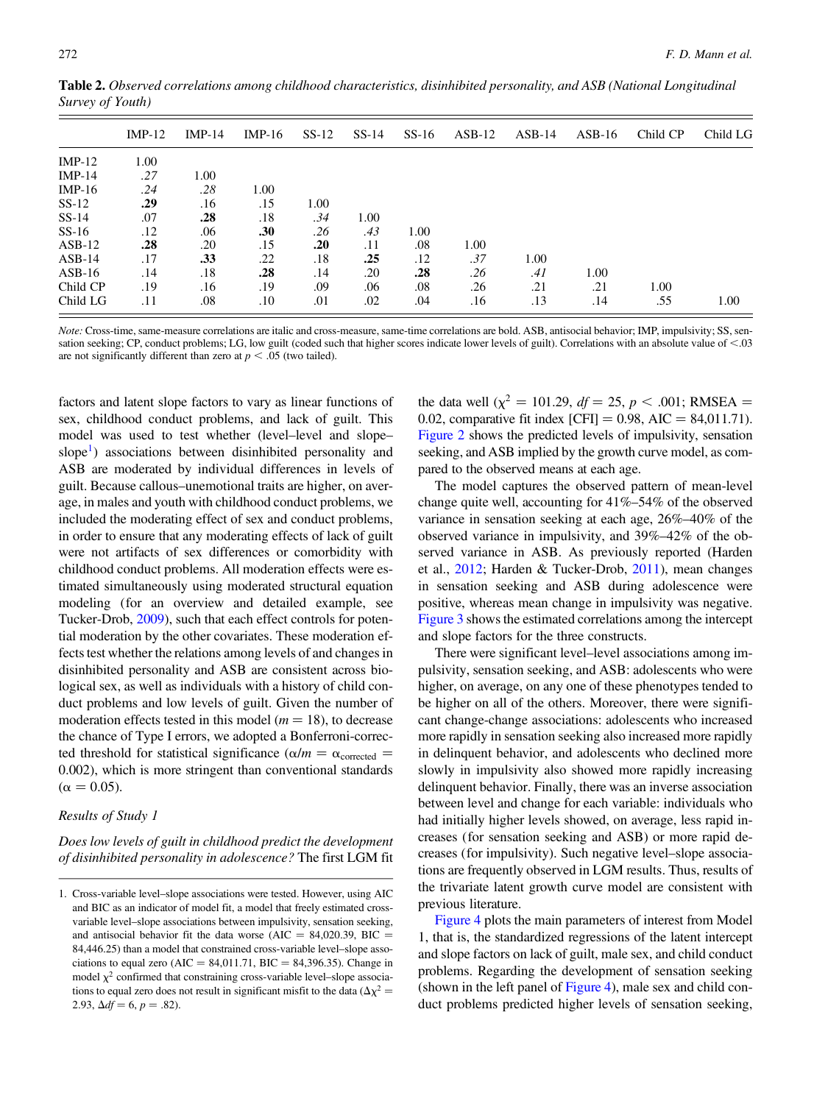|          | $IMP-12$ | $IMP-14$ | $IMP-16$ | $SS-12$ | $SS-14$ | $SS-16$ | $ASB-12$ | $ASB-14$ | $ASB-16$ | Child CP | Child LG |
|----------|----------|----------|----------|---------|---------|---------|----------|----------|----------|----------|----------|
| $IMP-12$ | 1.00     |          |          |         |         |         |          |          |          |          |          |
| $IMP-14$ | .27      | 1.00     |          |         |         |         |          |          |          |          |          |
| $IMP-16$ | .24      | .28      | 1.00     |         |         |         |          |          |          |          |          |
| $SS-12$  | .29      | .16      | .15      | 1.00    |         |         |          |          |          |          |          |
| $SS-14$  | .07      | .28      | .18      | .34     | 1.00    |         |          |          |          |          |          |
| $SS-16$  | .12      | .06      | .30      | .26     | .43     | 1.00    |          |          |          |          |          |
| $ASB-12$ | .28      | .20      | .15      | .20     | .11     | .08     | 1.00     |          |          |          |          |
| $ASB-14$ | .17      | .33      | .22      | .18     | .25     | .12     | .37      | 1.00     |          |          |          |
| $ASB-16$ | .14      | .18      | .28      | .14     | .20     | .28     | .26      | .41      | 1.00     |          |          |
| Child CP | .19      | .16      | .19      | .09     | .06     | .08     | .26      | .21      | .21      | 1.00     |          |
| Child LG | .11      | .08      | .10      | .01     | .02     | .04     | .16      | .13      | .14      | .55      | 1.00     |

<span id="page-5-0"></span>Table 2. Observed correlations among childhood characteristics, disinhibited personality, and ASB (National Longitudinal Survey of Youth)

Note: Cross-time, same-measure correlations are italic and cross-measure, same-time correlations are bold. ASB, antisocial behavior; IMP, impulsivity; SS, sensation seeking; CP, conduct problems; LG, low guilt (coded such that higher scores indicate lower levels of guilt). Correlations with an absolute value of  $<$ .03 are not significantly different than zero at  $p < .05$  (two tailed).

factors and latent slope factors to vary as linear functions of sex, childhood conduct problems, and lack of guilt. This model was used to test whether (level–level and slope– slope<sup>1</sup>) associations between disinhibited personality and ASB are moderated by individual differences in levels of guilt. Because callous–unemotional traits are higher, on average, in males and youth with childhood conduct problems, we included the moderating effect of sex and conduct problems, in order to ensure that any moderating effects of lack of guilt were not artifacts of sex differences or comorbidity with childhood conduct problems. All moderation effects were estimated simultaneously using moderated structural equation modeling (for an overview and detailed example, see Tucker-Drob, [2009\)](#page-15-0), such that each effect controls for potential moderation by the other covariates. These moderation effects test whether the relations among levels of and changes in disinhibited personality and ASB are consistent across biological sex, as well as individuals with a history of child conduct problems and low levels of guilt. Given the number of moderation effects tested in this model ( $m = 18$ ), to decrease the chance of Type I errors, we adopted a Bonferroni-corrected threshold for statistical significance ( $\alpha/m = \alpha_{\text{corrected}}$ ) 0.002), which is more stringent than conventional standards  $(\alpha = 0.05)$ .

#### Results of Study 1

Does low levels of guilt in childhood predict the development of disinhibited personality in adolescence? The first LGM fit the data well ( $\chi^2$  = 101.29, df = 25, p < .001; RMSEA = 0.02, comparative fit index  $[CFI] = 0.98$ , AIC = 84,011.71). [Figure 2](#page-7-0) shows the predicted levels of impulsivity, sensation seeking, and ASB implied by the growth curve model, as compared to the observed means at each age.

The model captures the observed pattern of mean-level change quite well, accounting for 41%–54% of the observed variance in sensation seeking at each age, 26%–40% of the observed variance in impulsivity, and 39%–42% of the observed variance in ASB. As previously reported (Harden et al., [2012](#page-14-0); Harden & Tucker-Drob, [2011\)](#page-14-0), mean changes in sensation seeking and ASB during adolescence were positive, whereas mean change in impulsivity was negative. [Figure 3](#page-8-0) shows the estimated correlations among the intercept and slope factors for the three constructs.

There were significant level–level associations among impulsivity, sensation seeking, and ASB: adolescents who were higher, on average, on any one of these phenotypes tended to be higher on all of the others. Moreover, there were significant change-change associations: adolescents who increased more rapidly in sensation seeking also increased more rapidly in delinquent behavior, and adolescents who declined more slowly in impulsivity also showed more rapidly increasing delinquent behavior. Finally, there was an inverse association between level and change for each variable: individuals who had initially higher levels showed, on average, less rapid increases (for sensation seeking and ASB) or more rapid decreases (for impulsivity). Such negative level–slope associations are frequently observed in LGM results. Thus, results of the trivariate latent growth curve model are consistent with previous literature.

[Figure 4](#page-8-0) plots the main parameters of interest from Model 1, that is, the standardized regressions of the latent intercept and slope factors on lack of guilt, male sex, and child conduct problems. Regarding the development of sensation seeking (shown in the left panel of [Figure 4\)](#page-8-0), male sex and child conduct problems predicted higher levels of sensation seeking,

<sup>1.</sup> Cross-variable level–slope associations were tested. However, using AIC and BIC as an indicator of model fit, a model that freely estimated crossvariable level–slope associations between impulsivity, sensation seeking, and antisocial behavior fit the data worse (AIC = 84,020.39, BIC = 84,446.25) than a model that constrained cross-variable level–slope associations to equal zero (AIC = 84,011.71, BIC = 84,396.35). Change in model  $\chi^2$  confirmed that constraining cross-variable level–slope associations to equal zero does not result in significant misfit to the data ( $\Delta \chi^2$  = 2.93,  $\Delta df = 6$ ,  $p = .82$ ).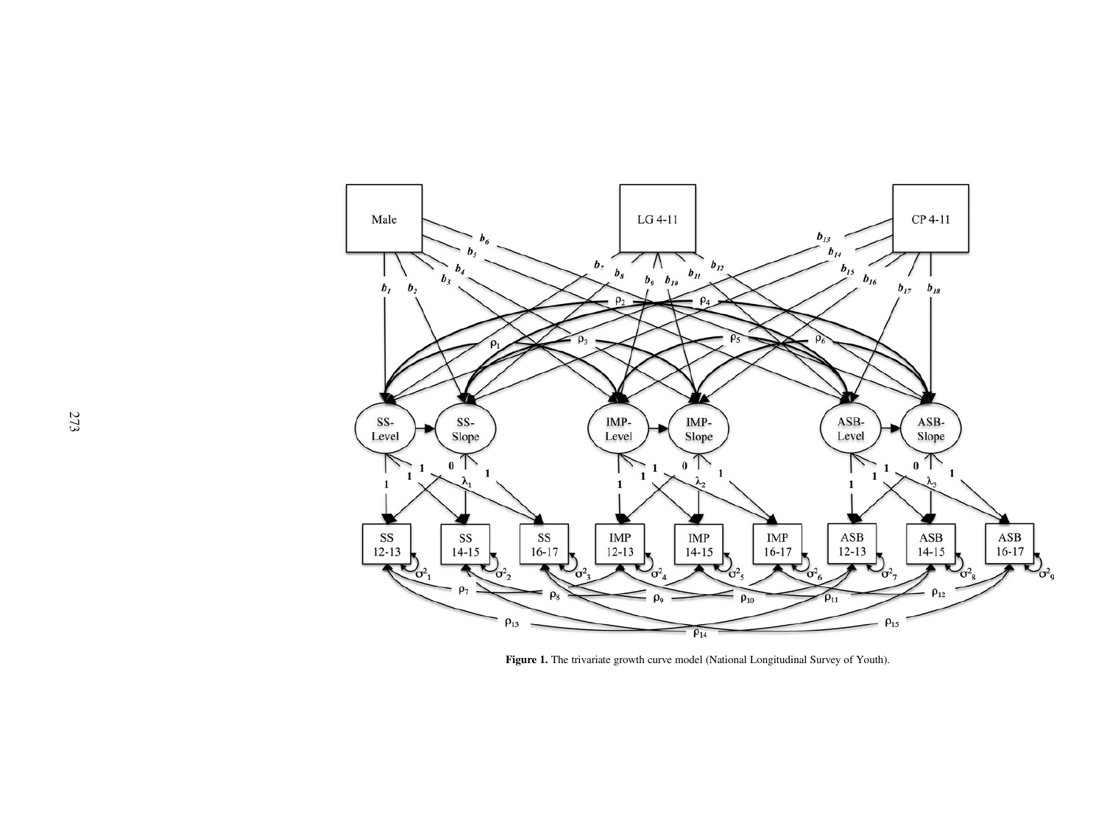<span id="page-6-0"></span>

Figure 1. The trivariate growth curve model (National Longitudinal Survey of Youth).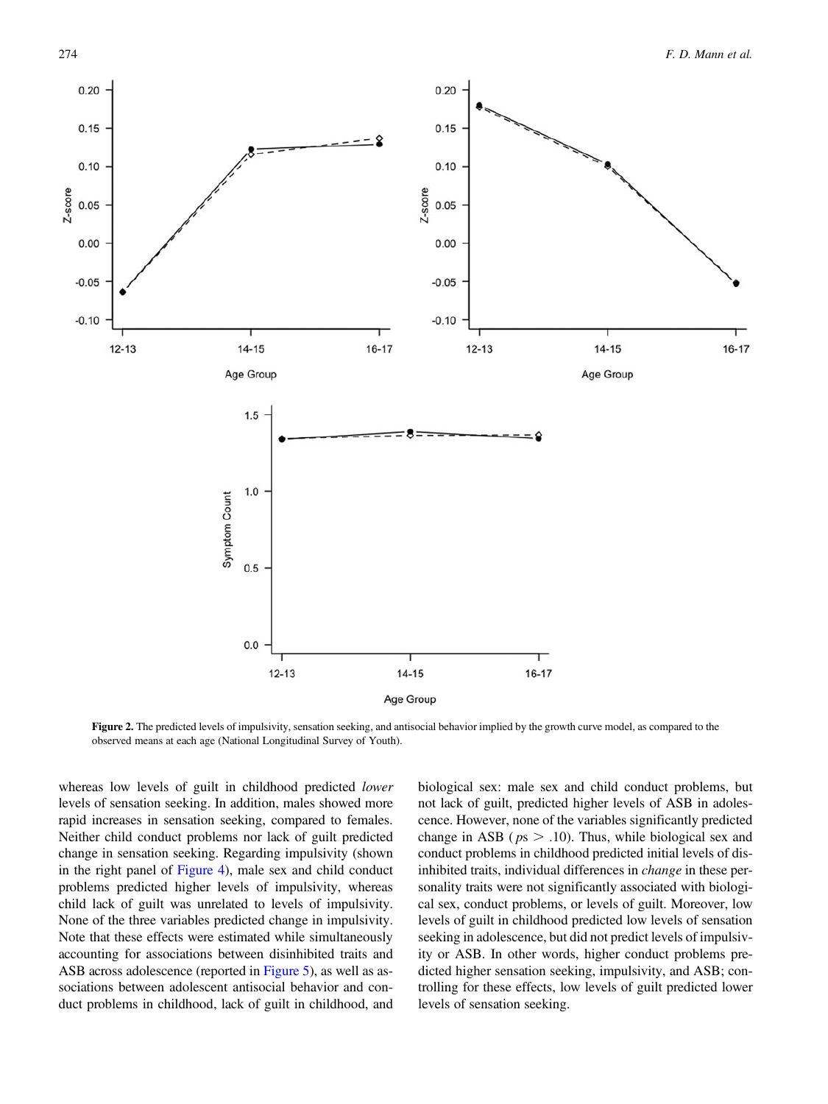<span id="page-7-0"></span>

Figure 2. The predicted levels of impulsivity, sensation seeking, and antisocial behavior implied by the growth curve model, as compared to the observed means at each age (National Longitudinal Survey of Youth).

whereas low levels of guilt in childhood predicted *lower* levels of sensation seeking. In addition, males showed more rapid increases in sensation seeking, compared to females. Neither child conduct problems nor lack of guilt predicted change in sensation seeking. Regarding impulsivity (shown in the right panel of [Figure 4](#page-8-0)), male sex and child conduct problems predicted higher levels of impulsivity, whereas child lack of guilt was unrelated to levels of impulsivity. None of the three variables predicted change in impulsivity. Note that these effects were estimated while simultaneously accounting for associations between disinhibited traits and ASB across adolescence (reported in [Figure 5](#page-9-0)), as well as associations between adolescent antisocial behavior and conduct problems in childhood, lack of guilt in childhood, and

biological sex: male sex and child conduct problems, but not lack of guilt, predicted higher levels of ASB in adolescence. However, none of the variables significantly predicted change in ASB ( $ps > .10$ ). Thus, while biological sex and conduct problems in childhood predicted initial levels of disinhibited traits, individual differences in change in these personality traits were not significantly associated with biological sex, conduct problems, or levels of guilt. Moreover, low levels of guilt in childhood predicted low levels of sensation seeking in adolescence, but did not predict levels of impulsivity or ASB. In other words, higher conduct problems predicted higher sensation seeking, impulsivity, and ASB; controlling for these effects, low levels of guilt predicted lower levels of sensation seeking.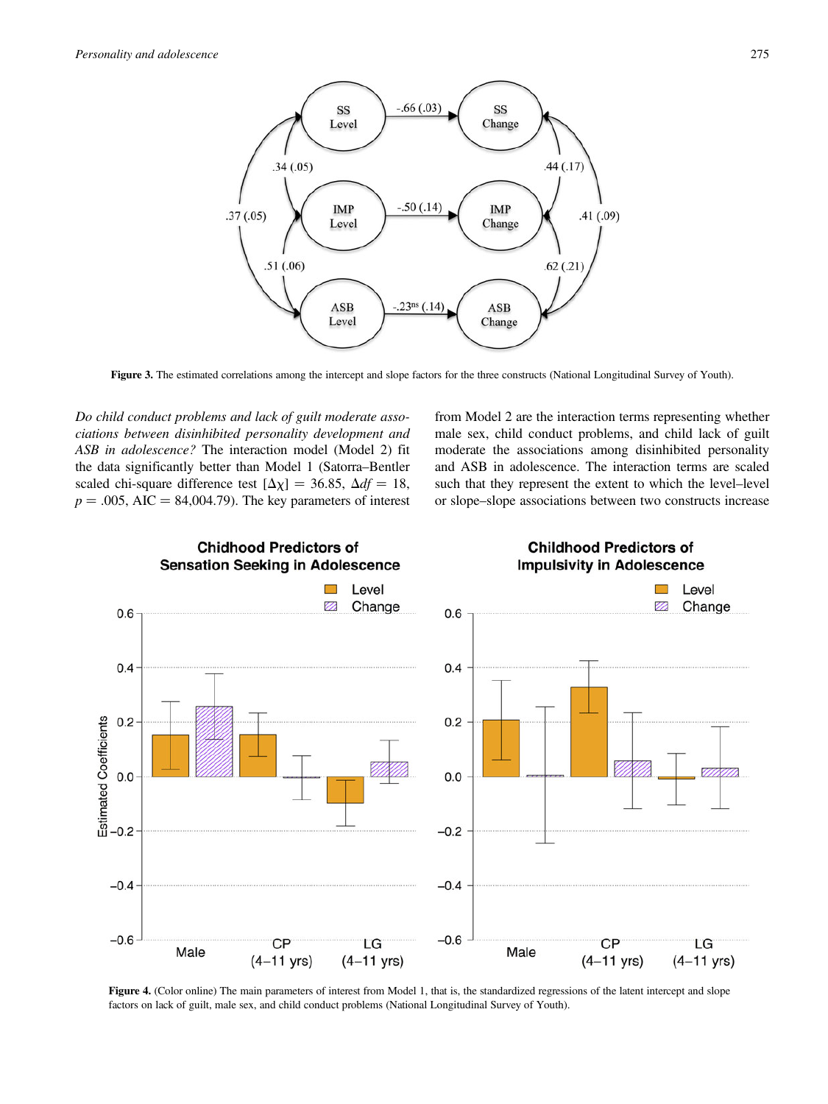<span id="page-8-0"></span>

Figure 3. The estimated correlations among the intercept and slope factors for the three constructs (National Longitudinal Survey of Youth).

Do child conduct problems and lack of guilt moderate associations between disinhibited personality development and ASB in adolescence? The interaction model (Model 2) fit the data significantly better than Model 1 (Satorra–Bentler scaled chi-square difference test  $[\Delta \chi] = 36.85$ ,  $\Delta df = 18$ ,  $p = .005$ , AIC = 84,004.79). The key parameters of interest

from Model 2 are the interaction terms representing whether male sex, child conduct problems, and child lack of guilt moderate the associations among disinhibited personality and ASB in adolescence. The interaction terms are scaled such that they represent the extent to which the level–level or slope–slope associations between two constructs increase



Figure 4. (Color online) The main parameters of interest from Model 1, that is, the standardized regressions of the latent intercept and slope factors on lack of guilt, male sex, and child conduct problems (National Longitudinal Survey of Youth).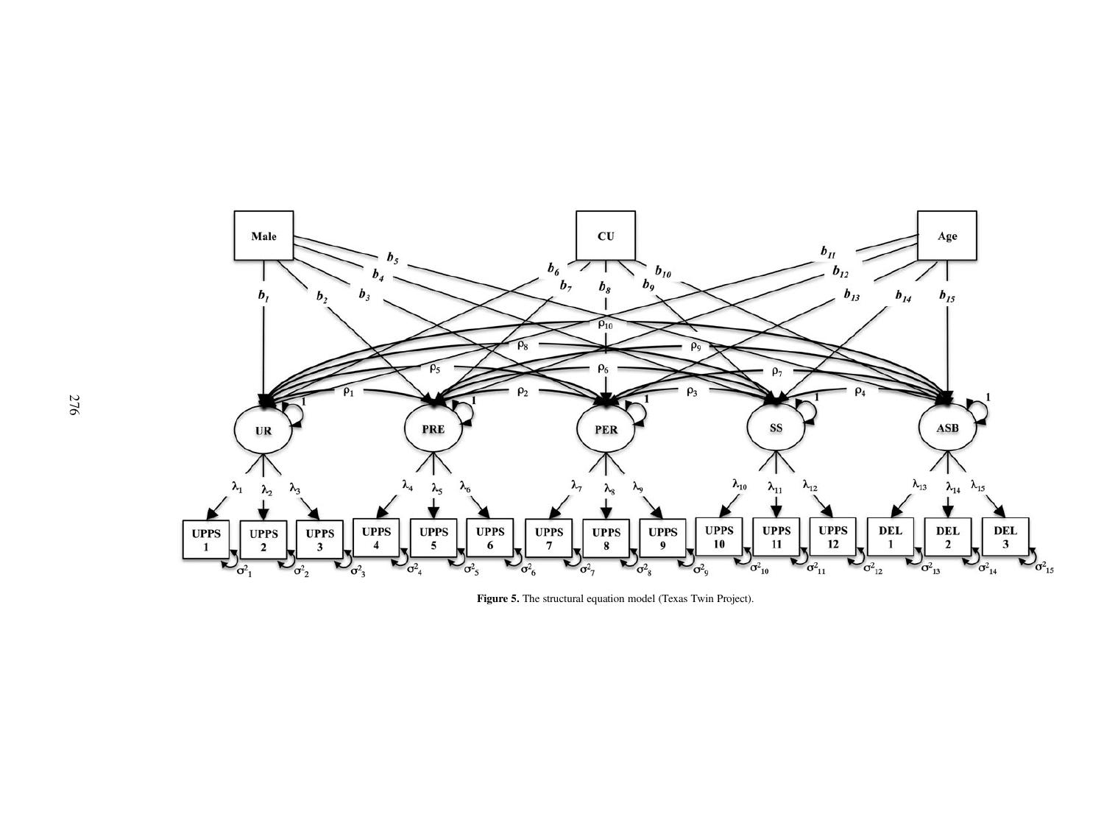<span id="page-9-0"></span>

Figure 5. The structural equation model (Texas Twin Project).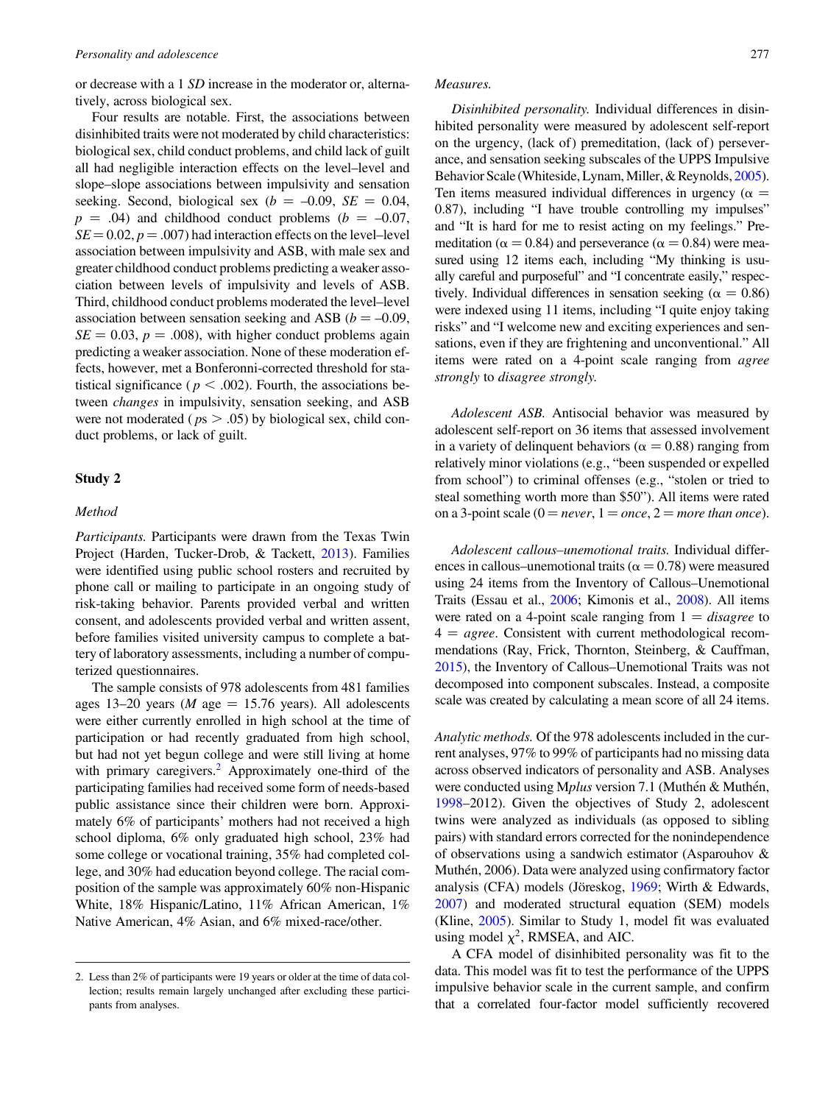or decrease with a 1 SD increase in the moderator or, alternatively, across biological sex.

Four results are notable. First, the associations between disinhibited traits were not moderated by child characteristics: biological sex, child conduct problems, and child lack of guilt all had negligible interaction effects on the level–level and slope–slope associations between impulsivity and sensation seeking. Second, biological sex ( $b = -0.09$ ,  $SE = 0.04$ ,  $p = .04$ ) and childhood conduct problems ( $b = -0.07$ ,  $SE = 0.02$ ,  $p = .007$ ) had interaction effects on the level–level association between impulsivity and ASB, with male sex and greater childhood conduct problems predicting a weaker association between levels of impulsivity and levels of ASB. Third, childhood conduct problems moderated the level–level association between sensation seeking and ASB ( $b = -0.09$ ,  $SE = 0.03$ ,  $p = .008$ ), with higher conduct problems again predicting a weaker association. None of these moderation effects, however, met a Bonferonni-corrected threshold for statistical significance ( $p < .002$ ). Fourth, the associations between changes in impulsivity, sensation seeking, and ASB were not moderated ( $ps > .05$ ) by biological sex, child conduct problems, or lack of guilt.

## Study 2

## Method

Participants. Participants were drawn from the Texas Twin Project (Harden, Tucker-Drob, & Tackett, [2013](#page-14-0)). Families were identified using public school rosters and recruited by phone call or mailing to participate in an ongoing study of risk-taking behavior. Parents provided verbal and written consent, and adolescents provided verbal and written assent, before families visited university campus to complete a battery of laboratory assessments, including a number of computerized questionnaires.

The sample consists of 978 adolescents from 481 families ages 13–20 years (*M* age = 15.76 years). All adolescents were either currently enrolled in high school at the time of participation or had recently graduated from high school, but had not yet begun college and were still living at home with primary caregivers.<sup>2</sup> Approximately one-third of the participating families had received some form of needs-based public assistance since their children were born. Approximately 6% of participants' mothers had not received a high school diploma, 6% only graduated high school, 23% had some college or vocational training, 35% had completed college, and 30% had education beyond college. The racial composition of the sample was approximately 60% non-Hispanic White, 18% Hispanic/Latino, 11% African American, 1% Native American, 4% Asian, and 6% mixed-race/other.

## Measures.

Disinhibited personality. Individual differences in disinhibited personality were measured by adolescent self-report on the urgency, (lack of) premeditation, (lack of) perseverance, and sensation seeking subscales of the UPPS Impulsive Behavior Scale (Whiteside, Lynam, Miller, & Reynolds, [2005](#page-15-0)). Ten items measured individual differences in urgency ( $\alpha$  = 0.87), including "I have trouble controlling my impulses" and "It is hard for me to resist acting on my feelings." Premeditation ( $\alpha$  = 0.84) and perseverance ( $\alpha$  = 0.84) were measured using 12 items each, including "My thinking is usually careful and purposeful" and "I concentrate easily," respectively. Individual differences in sensation seeking ( $\alpha = 0.86$ ) were indexed using 11 items, including "I quite enjoy taking risks" and "I welcome new and exciting experiences and sensations, even if they are frightening and unconventional." All items were rated on a 4-point scale ranging from agree strongly to disagree strongly.

Adolescent ASB. Antisocial behavior was measured by adolescent self-report on 36 items that assessed involvement in a variety of delinquent behaviors ( $\alpha = 0.88$ ) ranging from relatively minor violations (e.g., "been suspended or expelled from school") to criminal offenses (e.g., "stolen or tried to steal something worth more than \$50"). All items were rated on a 3-point scale ( $0 = never$ ,  $1 = once$ ,  $2 = more than once$ ).

Adolescent callous–unemotional traits. Individual differences in callous–unemotional traits ( $\alpha = 0.78$ ) were measured using 24 items from the Inventory of Callous–Unemotional Traits (Essau et al., [2006](#page-14-0); Kimonis et al., [2008](#page-14-0)). All items were rated on a 4-point scale ranging from  $1 = disagree$  to  $4 = agree.$  Consistent with current methodological recommendations (Ray, Frick, Thornton, Steinberg, & Cauffman, [2015\)](#page-15-0), the Inventory of Callous–Unemotional Traits was not decomposed into component subscales. Instead, a composite scale was created by calculating a mean score of all 24 items.

Analytic methods. Of the 978 adolescents included in the current analyses, 97% to 99% of participants had no missing data across observed indicators of personality and ASB. Analyses were conducted using Mplus version 7.1 (Muthén & Muthén, [1998–](#page-15-0)2012). Given the objectives of Study 2, adolescent twins were analyzed as individuals (as opposed to sibling pairs) with standard errors corrected for the nonindependence of observations using a sandwich estimator (Asparouhov & Muthén, 2006). Data were analyzed using confirmatory factor analysis (CFA) models (Jöreskog, [1969;](#page-14-0) Wirth & Edwards, [2007\)](#page-15-0) and moderated structural equation (SEM) models (Kline, [2005](#page-14-0)). Similar to Study 1, model fit was evaluated using model  $\chi^2$ , RMSEA, and AIC.

A CFA model of disinhibited personality was fit to the data. This model was fit to test the performance of the UPPS impulsive behavior scale in the current sample, and confirm that a correlated four-factor model sufficiently recovered

<sup>2.</sup> Less than 2% of participants were 19 years or older at the time of data collection; results remain largely unchanged after excluding these participants from analyses.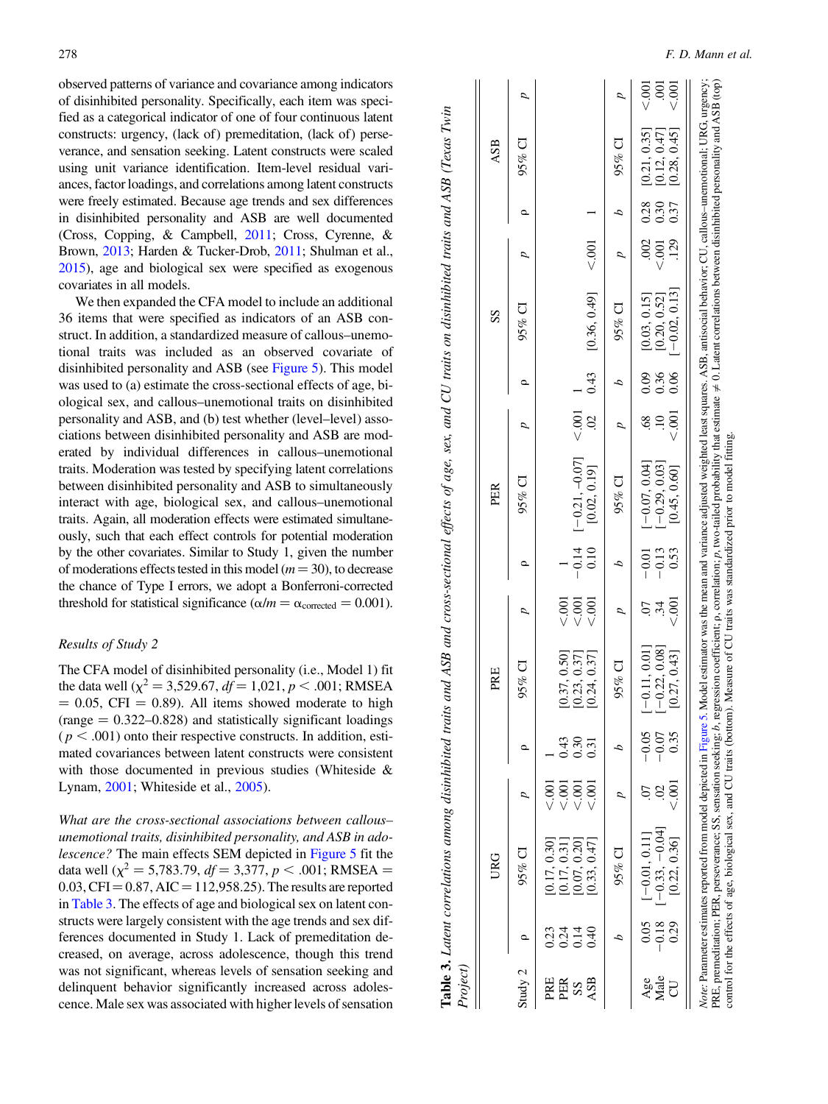observed patterns of variance and covariance among indicators of disinhibited personality. Specifically, each item was specified as a categorical indicator of one of four continuous latent constructs: urgency, (lack of) premeditation, (lack of) perseverance, and sensation seeking. Latent constructs were scaled using unit variance identification. Item-level residual variances, factor loadings, and correlations among latent constructs were freely estimated. Because age trends and sex differences in disinhibited personality and ASB are well documented (Cross, Copping, & Campbell, [2011](#page-14-0); Cross, Cyrenne, & Brown, [2013](#page-14-0); Harden & Tucker-Drob, [2011;](#page-14-0) Shulman et al., [2015\)](#page-15-0), age and biological sex were specified as exogenous covariates in all models.

We then expanded the CFA model to include an additional 36 items that were specified as indicators of an ASB construct. In addition, a standardized measure of callous–unemotional traits was included as an observed covariate of disinhibited personality and ASB (see [Figure 5\)](#page-9-0). This model was used to (a) estimate the cross-sectional effects of age, biological sex, and callous–unemotional traits on disinhibited personality and ASB, and (b) test whether (level–level) associations between disinhibited personality and ASB are moderated by individual differences in callous–unemotional traits. Moderation was tested by specifying latent correlations between disinhibited personality and ASB to simultaneously interact with age, biological sex, and callous–unemotional traits. Again, all moderation effects were estimated simultaneously, such that each effect controls for potential moderation by the other covariates. Similar to Study 1, given the number of moderations effects tested in this model  $(m = 30)$ , to decrease the chance of Type I errors, we adopt a Bonferroni-corrected threshold for statistical significance ( $\alpha/m = \alpha_{\text{corrected}} = 0.001$ ).

# Results of Study 2

The CFA model of disinhibited personality (i.e., Model 1) fit the data well ( $\chi^2 = 3{,}529.67$ ,  $df = 1{,}021$ ,  $p < .001$ ; RMSEA  $= 0.05$ , CFI  $= 0.89$ ). All items showed moderate to high  $(range = 0.322 - 0.828)$  and statistically significant loadings  $(p < .001)$  onto their respective constructs. In addition, estimated covariances between latent constructs were consistent with those documented in previous studies (Whiteside & Lynam, [2001](#page-15-0); Whiteside et al., [2005\)](#page-15-0).

What are the cross-sectional associations between callous– unemotional traits, disinhibited personality, and ASB in adolescence? The main effects SEM depicted in [Figure 5](#page-9-0) fit the data well ( $\chi^2 = 5,783.79$ ,  $df = 3,377$ ,  $p < .001$ ; RMSEA =  $0.03, CFI = 0.87, AIC = 112,958.25$ . The results are reported in Table 3. The effects of age and biological sex on latent constructs were largely consistent with the age trends and sex differences documented in Study 1. Lack of premeditation decreased, on average, across adolescence, though this trend was not significant, whereas levels of sensation seeking and delinquent behavior significantly increased across adolescence. Male sex was associated with higher levels of sensation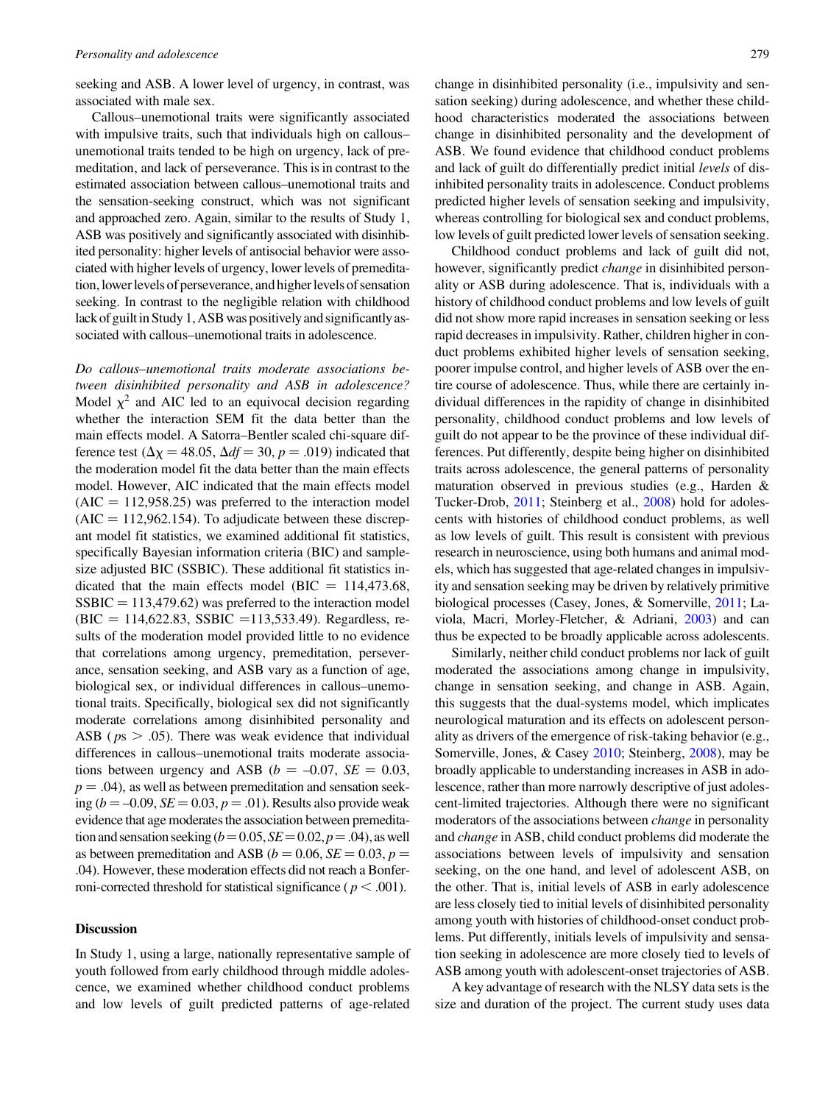seeking and ASB. A lower level of urgency, in contrast, was associated with male sex.

Callous–unemotional traits were significantly associated with impulsive traits, such that individuals high on callous– unemotional traits tended to be high on urgency, lack of premeditation, and lack of perseverance. This is in contrast to the estimated association between callous–unemotional traits and the sensation-seeking construct, which was not significant and approached zero. Again, similar to the results of Study 1, ASB was positively and significantly associated with disinhibited personality: higher levels of antisocial behavior were associated with higher levels of urgency, lower levels of premeditation,lowerlevels of perseverance, and higher levels of sensation seeking. In contrast to the negligible relation with childhood lack of guilt in Study 1, ASB was positively and significantly associated with callous–unemotional traits in adolescence.

Do callous–unemotional traits moderate associations between disinhibited personality and ASB in adolescence? Model  $\chi^2$  and AIC led to an equivocal decision regarding whether the interaction SEM fit the data better than the main effects model. A Satorra–Bentler scaled chi-square difference test ( $\Delta \chi = 48.05$ ,  $\Delta df = 30$ ,  $p = .019$ ) indicated that the moderation model fit the data better than the main effects model. However, AIC indicated that the main effects model  $(AIC = 112,958.25)$  was preferred to the interaction model  $(AIC = 112,962.154)$ . To adjudicate between these discrepant model fit statistics, we examined additional fit statistics, specifically Bayesian information criteria (BIC) and samplesize adjusted BIC (SSBIC). These additional fit statistics indicated that the main effects model (BIC =  $114,473.68$ ,  $SSBIC = 113,479.62$  was preferred to the interaction model  $(BIC = 114,622.83, SSBIC = 113,533.49)$ . Regardless, results of the moderation model provided little to no evidence that correlations among urgency, premeditation, perseverance, sensation seeking, and ASB vary as a function of age, biological sex, or individual differences in callous–unemotional traits. Specifically, biological sex did not significantly moderate correlations among disinhibited personality and ASB ( $ps > .05$ ). There was weak evidence that individual differences in callous–unemotional traits moderate associations between urgency and ASB ( $b = -0.07$ ,  $SE = 0.03$ ,  $p = .04$ ), as well as between premeditation and sensation seeking ( $b = -0.09$ ,  $SE = 0.03$ ,  $p = .01$ ). Results also provide weak evidence that age moderates the association between premeditation and sensation seeking  $(b=0.05, SE=0.02, p=.04)$ , as well as between premeditation and ASB ( $b = 0.06$ ,  $SE = 0.03$ ,  $p =$ .04). However, these moderation effects did not reach a Bonferroni-corrected threshold for statistical significance ( $p < .001$ ).

#### Discussion

In Study 1, using a large, nationally representative sample of youth followed from early childhood through middle adolescence, we examined whether childhood conduct problems and low levels of guilt predicted patterns of age-related

change in disinhibited personality (i.e., impulsivity and sensation seeking) during adolescence, and whether these childhood characteristics moderated the associations between change in disinhibited personality and the development of ASB. We found evidence that childhood conduct problems and lack of guilt do differentially predict initial levels of disinhibited personality traits in adolescence. Conduct problems predicted higher levels of sensation seeking and impulsivity, whereas controlling for biological sex and conduct problems, low levels of guilt predicted lower levels of sensation seeking.

Childhood conduct problems and lack of guilt did not, however, significantly predict *change* in disinhibited personality or ASB during adolescence. That is, individuals with a history of childhood conduct problems and low levels of guilt did not show more rapid increases in sensation seeking or less rapid decreases in impulsivity. Rather, children higher in conduct problems exhibited higher levels of sensation seeking, poorer impulse control, and higher levels of ASB over the entire course of adolescence. Thus, while there are certainly individual differences in the rapidity of change in disinhibited personality, childhood conduct problems and low levels of guilt do not appear to be the province of these individual differences. Put differently, despite being higher on disinhibited traits across adolescence, the general patterns of personality maturation observed in previous studies (e.g., Harden & Tucker-Drob, [2011](#page-14-0); Steinberg et al., [2008](#page-15-0)) hold for adolescents with histories of childhood conduct problems, as well as low levels of guilt. This result is consistent with previous research in neuroscience, using both humans and animal models, which has suggested that age-related changes in impulsivity and sensation seeking may be driven by relatively primitive biological processes (Casey, Jones, & Somerville, [2011;](#page-14-0) Laviola, Macri, Morley-Fletcher, & Adriani, [2003\)](#page-14-0) and can thus be expected to be broadly applicable across adolescents.

Similarly, neither child conduct problems nor lack of guilt moderated the associations among change in impulsivity, change in sensation seeking, and change in ASB. Again, this suggests that the dual-systems model, which implicates neurological maturation and its effects on adolescent personality as drivers of the emergence of risk-taking behavior (e.g., Somerville, Jones, & Casey [2010;](#page-15-0) Steinberg, [2008](#page-15-0)), may be broadly applicable to understanding increases in ASB in adolescence, rather than more narrowly descriptive of just adolescent-limited trajectories. Although there were no significant moderators of the associations between change in personality and change in ASB, child conduct problems did moderate the associations between levels of impulsivity and sensation seeking, on the one hand, and level of adolescent ASB, on the other. That is, initial levels of ASB in early adolescence are less closely tied to initial levels of disinhibited personality among youth with histories of childhood-onset conduct problems. Put differently, initials levels of impulsivity and sensation seeking in adolescence are more closely tied to levels of ASB among youth with adolescent-onset trajectories of ASB.

A key advantage of research with the NLSY data sets is the size and duration of the project. The current study uses data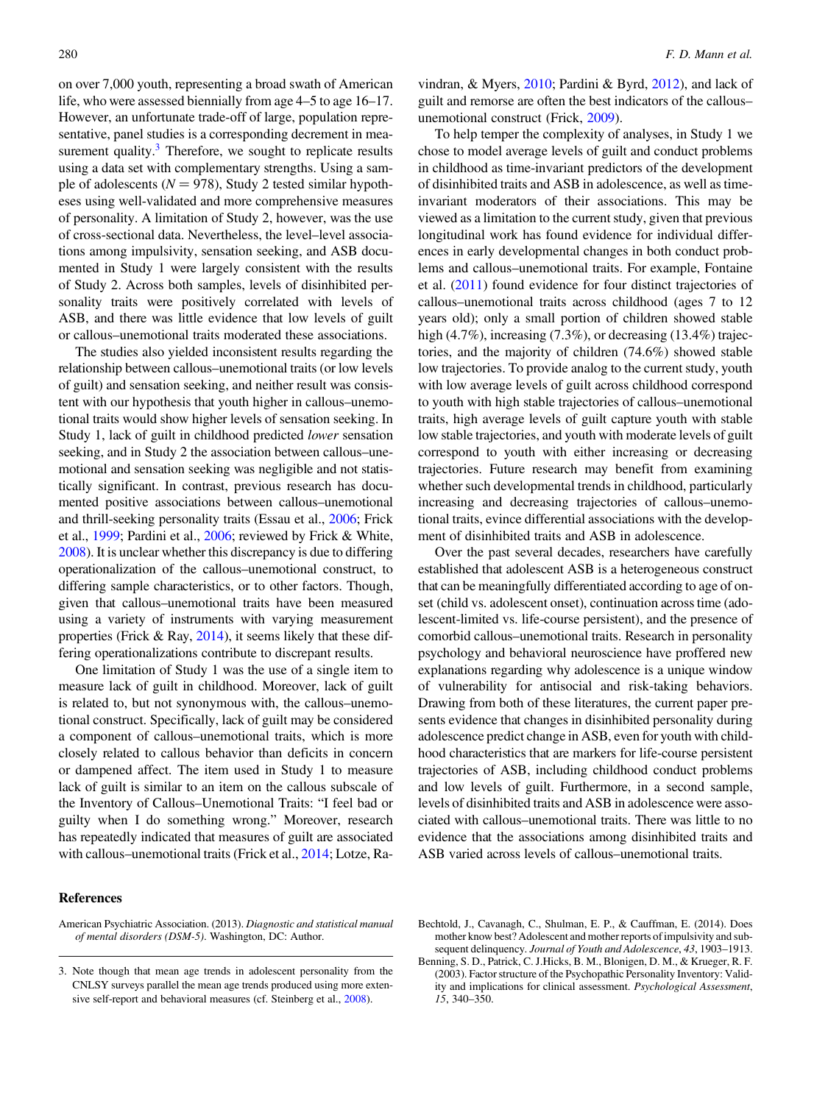<span id="page-13-0"></span>on over 7,000 youth, representing a broad swath of American life, who were assessed biennially from age 4–5 to age 16–17. However, an unfortunate trade-off of large, population representative, panel studies is a corresponding decrement in measurement quality. $3$  Therefore, we sought to replicate results using a data set with complementary strengths. Using a sample of adolescents ( $N = 978$ ), Study 2 tested similar hypotheses using well-validated and more comprehensive measures of personality. A limitation of Study 2, however, was the use of cross-sectional data. Nevertheless, the level–level associations among impulsivity, sensation seeking, and ASB documented in Study 1 were largely consistent with the results of Study 2. Across both samples, levels of disinhibited personality traits were positively correlated with levels of ASB, and there was little evidence that low levels of guilt or callous–unemotional traits moderated these associations.

The studies also yielded inconsistent results regarding the relationship between callous–unemotional traits (or low levels of guilt) and sensation seeking, and neither result was consistent with our hypothesis that youth higher in callous–unemotional traits would show higher levels of sensation seeking. In Study 1, lack of guilt in childhood predicted lower sensation seeking, and in Study 2 the association between callous–unemotional and sensation seeking was negligible and not statistically significant. In contrast, previous research has documented positive associations between callous–unemotional and thrill-seeking personality traits (Essau et al., [2006;](#page-14-0) Frick et al., [1999](#page-14-0); Pardini et al., [2006](#page-15-0); reviewed by Frick & White, [2008\)](#page-14-0). It is unclear whether this discrepancy is due to differing operationalization of the callous–unemotional construct, to differing sample characteristics, or to other factors. Though, given that callous–unemotional traits have been measured using a variety of instruments with varying measurement properties (Frick & Ray, [2014\)](#page-14-0), it seems likely that these differing operationalizations contribute to discrepant results.

One limitation of Study 1 was the use of a single item to measure lack of guilt in childhood. Moreover, lack of guilt is related to, but not synonymous with, the callous–unemotional construct. Specifically, lack of guilt may be considered a component of callous–unemotional traits, which is more closely related to callous behavior than deficits in concern or dampened affect. The item used in Study 1 to measure lack of guilt is similar to an item on the callous subscale of the Inventory of Callous–Unemotional Traits: "I feel bad or guilty when I do something wrong." Moreover, research has repeatedly indicated that measures of guilt are associated with callous–unemotional traits (Frick et al., [2014](#page-14-0); Lotze, Ra-

American Psychiatric Association. (2013). Diagnostic and statistical manual of mental disorders (DSM-5). Washington, DC: Author.

vindran, & Myers, [2010;](#page-14-0) Pardini & Byrd, [2012\)](#page-15-0), and lack of guilt and remorse are often the best indicators of the callous– unemotional construct (Frick, [2009](#page-14-0)).

To help temper the complexity of analyses, in Study 1 we chose to model average levels of guilt and conduct problems in childhood as time-invariant predictors of the development of disinhibited traits and ASB in adolescence, as well as timeinvariant moderators of their associations. This may be viewed as a limitation to the current study, given that previous longitudinal work has found evidence for individual differences in early developmental changes in both conduct problems and callous–unemotional traits. For example, Fontaine et al. ([2011\)](#page-14-0) found evidence for four distinct trajectories of callous–unemotional traits across childhood (ages 7 to 12 years old); only a small portion of children showed stable high (4.7%), increasing (7.3%), or decreasing (13.4%) trajectories, and the majority of children (74.6%) showed stable low trajectories. To provide analog to the current study, youth with low average levels of guilt across childhood correspond to youth with high stable trajectories of callous–unemotional traits, high average levels of guilt capture youth with stable low stable trajectories, and youth with moderate levels of guilt correspond to youth with either increasing or decreasing trajectories. Future research may benefit from examining whether such developmental trends in childhood, particularly increasing and decreasing trajectories of callous–unemotional traits, evince differential associations with the development of disinhibited traits and ASB in adolescence.

Over the past several decades, researchers have carefully established that adolescent ASB is a heterogeneous construct that can be meaningfully differentiated according to age of onset (child vs. adolescent onset), continuation across time (adolescent-limited vs. life-course persistent), and the presence of comorbid callous–unemotional traits. Research in personality psychology and behavioral neuroscience have proffered new explanations regarding why adolescence is a unique window of vulnerability for antisocial and risk-taking behaviors. Drawing from both of these literatures, the current paper presents evidence that changes in disinhibited personality during adolescence predict change in ASB, even for youth with childhood characteristics that are markers for life-course persistent trajectories of ASB, including childhood conduct problems and low levels of guilt. Furthermore, in a second sample, levels of disinhibited traits and ASB in adolescence were associated with callous–unemotional traits. There was little to no evidence that the associations among disinhibited traits and ASB varied across levels of callous–unemotional traits.

<sup>3.</sup> Note though that mean age trends in adolescent personality from the CNLSY surveys parallel the mean age trends produced using more extensive self-report and behavioral measures (cf. Steinberg et al., [2008\)](#page-15-0).

Bechtold, J., Cavanagh, C., Shulman, E. P., & Cauffman, E. (2014). Does mother know best? Adolescent and mother reports of impulsivity and subsequent delinquency. Journal of Youth and Adolescence, 43, 1903-1913.

Benning, S. D., Patrick, C. J.Hicks, B. M., Blonigen, D. M., & Krueger, R. F. (2003). Factor structure of the Psychopathic Personality Inventory: Validity and implications for clinical assessment. Psychological Assessment, 15, 340–350.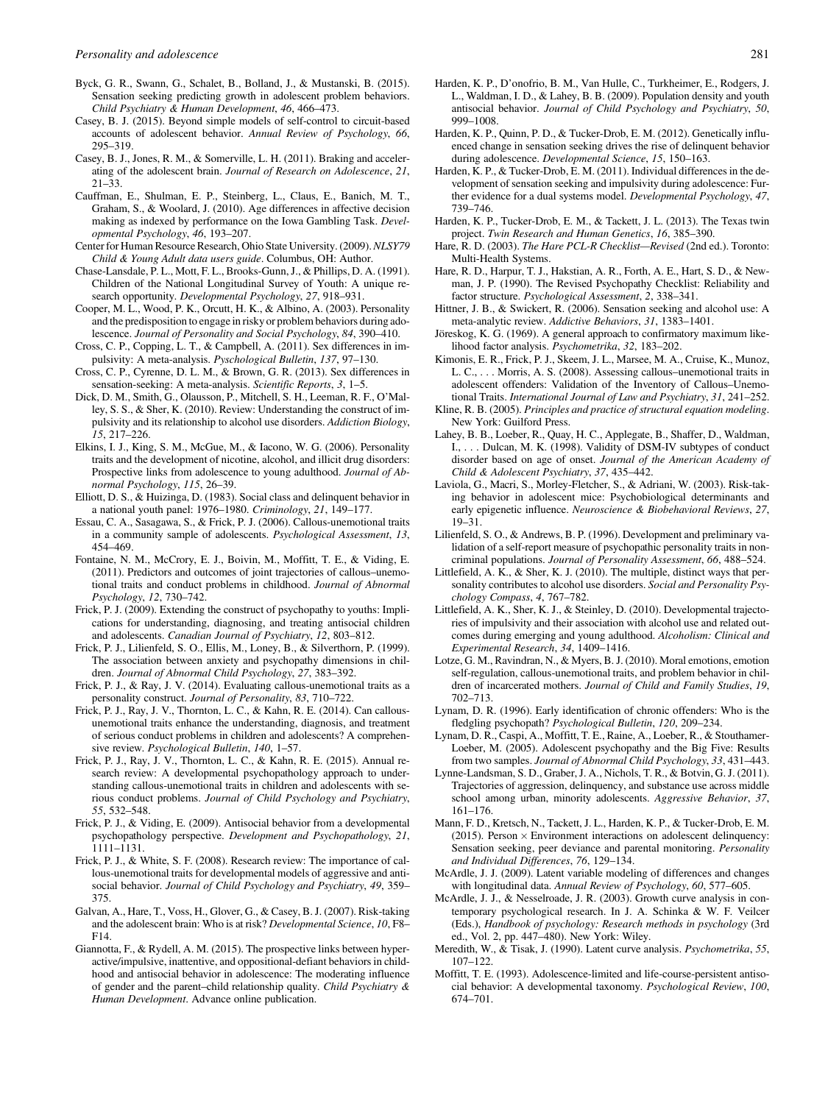- <span id="page-14-0"></span>Byck, G. R., Swann, G., Schalet, B., Bolland, J., & Mustanski, B. (2015). Sensation seeking predicting growth in adolescent problem behaviors. Child Psychiatry & Human Development, 46, 466–473.
- Casey, B. J. (2015). Beyond simple models of self-control to circuit-based accounts of adolescent behavior. Annual Review of Psychology, 66, 295–319.
- Casey, B. J., Jones, R. M., & Somerville, L. H. (2011). Braking and accelerating of the adolescent brain. Journal of Research on Adolescence, 21, 21–33.
- Cauffman, E., Shulman, E. P., Steinberg, L., Claus, E., Banich, M. T., Graham, S., & Woolard, J. (2010). Age differences in affective decision making as indexed by performance on the Iowa Gambling Task. Developmental Psychology, 46, 193–207.
- Center for Human Resource Research, Ohio State University. (2009). NLSY79 Child & Young Adult data users guide. Columbus, OH: Author.
- Chase-Lansdale, P. L., Mott, F. L., Brooks-Gunn, J., & Phillips, D. A. (1991). Children of the National Longitudinal Survey of Youth: A unique research opportunity. Developmental Psychology, 27, 918–931.
- Cooper, M. L., Wood, P. K., Orcutt, H. K., & Albino, A. (2003). Personality and the predisposition to engage in risky or problem behaviors during adolescence. Journal of Personality and Social Psychology, 84, 390–410.
- Cross, C. P., Copping, L. T., & Campbell, A. (2011). Sex differences in impulsivity: A meta-analysis. Pyschological Bulletin, 137, 97–130.
- Cross, C. P., Cyrenne, D. L. M., & Brown, G. R. (2013). Sex differences in sensation-seeking: A meta-analysis. Scientific Reports, 3, 1–5.
- Dick, D. M., Smith, G., Olausson, P., Mitchell, S. H., Leeman, R. F., O'Malley, S. S., & Sher, K. (2010). Review: Understanding the construct of impulsivity and its relationship to alcohol use disorders. Addiction Biology, 15, 217–226.
- Elkins, I. J., King, S. M., McGue, M., & Iacono, W. G. (2006). Personality traits and the development of nicotine, alcohol, and illicit drug disorders: Prospective links from adolescence to young adulthood. Journal of Abnormal Psychology, 115, 26–39.
- Elliott, D. S., & Huizinga, D. (1983). Social class and delinquent behavior in a national youth panel: 1976–1980. Criminology, 21, 149–177.
- Essau, C. A., Sasagawa, S., & Frick, P. J. (2006). Callous-unemotional traits in a community sample of adolescents. Psychological Assessment, 13, 454–469.
- Fontaine, N. M., McCrory, E. J., Boivin, M., Moffitt, T. E., & Viding, E. (2011). Predictors and outcomes of joint trajectories of callous–unemotional traits and conduct problems in childhood. Journal of Abnormal Psychology, 12, 730–742.
- Frick, P. J. (2009). Extending the construct of psychopathy to youths: Implications for understanding, diagnosing, and treating antisocial children and adolescents. Canadian Journal of Psychiatry, 12, 803–812.
- Frick, P. J., Lilienfeld, S. O., Ellis, M., Loney, B., & Silverthorn, P. (1999). The association between anxiety and psychopathy dimensions in children. Journal of Abnormal Child Psychology, 27, 383–392.
- Frick, P. J., & Ray, J. V. (2014). Evaluating callous-unemotional traits as a personality construct. Journal of Personality, 83, 710–722.
- Frick, P. J., Ray, J. V., Thornton, L. C., & Kahn, R. E. (2014). Can callousunemotional traits enhance the understanding, diagnosis, and treatment of serious conduct problems in children and adolescents? A comprehensive review. Psychological Bulletin, 140, 1–57.
- Frick, P. J., Ray, J. V., Thornton, L. C., & Kahn, R. E. (2015). Annual research review: A developmental psychopathology approach to understanding callous-unemotional traits in children and adolescents with serious conduct problems. Journal of Child Psychology and Psychiatry, 55, 532–548.
- Frick, P. J., & Viding, E. (2009). Antisocial behavior from a developmental psychopathology perspective. Development and Psychopathology, 21, 1111–1131.
- Frick, P. J., & White, S. F. (2008). Research review: The importance of callous-unemotional traits for developmental models of aggressive and antisocial behavior. Journal of Child Psychology and Psychiatry, 49, 359– 375.
- Galvan, A., Hare, T., Voss, H., Glover, G., & Casey, B. J. (2007). Risk-taking and the adolescent brain: Who is at risk? Developmental Science, 10, F8– F14.
- Giannotta, F., & Rydell, A. M. (2015). The prospective links between hyperactive/impulsive, inattentive, and oppositional-defiant behaviors in childhood and antisocial behavior in adolescence: The moderating influence of gender and the parent–child relationship quality. Child Psychiatry & Human Development. Advance online publication.
- Harden, K. P., D'onofrio, B. M., Van Hulle, C., Turkheimer, E., Rodgers, J. L., Waldman, I. D., & Lahey, B. B. (2009). Population density and youth antisocial behavior. Journal of Child Psychology and Psychiatry, 50, 999–1008.
- Harden, K. P., Quinn, P. D., & Tucker-Drob, E. M. (2012). Genetically influenced change in sensation seeking drives the rise of delinquent behavior during adolescence. Developmental Science, 15, 150-163.
- Harden, K. P., & Tucker-Drob, E. M. (2011). Individual differences in the development of sensation seeking and impulsivity during adolescence: Further evidence for a dual systems model. Developmental Psychology, 47, 739–746.
- Harden, K. P., Tucker-Drob, E. M., & Tackett, J. L. (2013). The Texas twin project. Twin Research and Human Genetics, 16, 385–390.
- Hare, R. D. (2003). The Hare PCL-R Checklist—Revised (2nd ed.). Toronto: Multi-Health Systems.
- Hare, R. D., Harpur, T. J., Hakstian, A. R., Forth, A. E., Hart, S. D., & Newman, J. P. (1990). The Revised Psychopathy Checklist: Reliability and factor structure. Psychological Assessment, 2, 338–341.
- Hittner, J. B., & Swickert, R. (2006). Sensation seeking and alcohol use: A meta-analytic review. Addictive Behaviors, 31, 1383–1401.
- Jöreskog, K. G. (1969). A general approach to confirmatory maximum likelihood factor analysis. Psychometrika, 32, 183–202.
- Kimonis, E. R., Frick, P. J., Skeem, J. L., Marsee, M. A., Cruise, K., Munoz, L. C., . . . Morris, A. S. (2008). Assessing callous–unemotional traits in adolescent offenders: Validation of the Inventory of Callous–Unemotional Traits. International Journal of Law and Psychiatry, 31, 241–252.
- Kline, R. B. (2005). Principles and practice of structural equation modeling. New York: Guilford Press.
- Lahey, B. B., Loeber, R., Quay, H. C., Applegate, B., Shaffer, D., Waldman, I., . . . Dulcan, M. K. (1998). Validity of DSM-IV subtypes of conduct disorder based on age of onset. Journal of the American Academy of Child & Adolescent Psychiatry, 37, 435–442.
- Laviola, G., Macri, S., Morley-Fletcher, S., & Adriani, W. (2003). Risk-taking behavior in adolescent mice: Psychobiological determinants and early epigenetic influence. Neuroscience & Biobehavioral Reviews, 27, 19–31.
- Lilienfeld, S. O., & Andrews, B. P. (1996). Development and preliminary validation of a self-report measure of psychopathic personality traits in noncriminal populations. Journal of Personality Assessment, 66, 488–524.
- Littlefield, A. K., & Sher, K. J. (2010). The multiple, distinct ways that personality contributes to alcohol use disorders. Social and Personality Psychology Compass, 4, 767–782.
- Littlefield, A. K., Sher, K. J., & Steinley, D. (2010). Developmental trajectories of impulsivity and their association with alcohol use and related outcomes during emerging and young adulthood. Alcoholism: Clinical and Experimental Research, 34, 1409–1416.
- Lotze, G. M., Ravindran, N., & Myers, B. J. (2010). Moral emotions, emotion self-regulation, callous-unemotional traits, and problem behavior in children of incarcerated mothers. Journal of Child and Family Studies, 19, 702–713.
- Lynam, D. R. (1996). Early identification of chronic offenders: Who is the fledgling psychopath? Psychological Bulletin, 120, 209–234.
- Lynam, D. R., Caspi, A., Moffitt, T. E., Raine, A., Loeber, R., & Stouthamer-Loeber, M. (2005). Adolescent psychopathy and the Big Five: Results from two samples. Journal of Abnormal Child Psychology, 33, 431-443.
- Lynne-Landsman, S. D., Graber, J. A., Nichols, T. R., & Botvin, G. J. (2011). Trajectories of aggression, delinquency, and substance use across middle school among urban, minority adolescents. Aggressive Behavior, 37, 161–176.
- Mann, F. D., Kretsch, N., Tackett, J. L., Harden, K. P., & Tucker-Drob, E. M. (2015). Person  $\times$  Environment interactions on adolescent delinquency: Sensation seeking, peer deviance and parental monitoring. Personality and Individual Differences, 76, 129–134.
- McArdle, J. J. (2009). Latent variable modeling of differences and changes with longitudinal data. Annual Review of Psychology, 60, 577–605.
- McArdle, J. J., & Nesselroade, J. R. (2003). Growth curve analysis in contemporary psychological research. In J. A. Schinka & W. F. Veilcer (Eds.), Handbook of psychology: Research methods in psychology (3rd ed., Vol. 2, pp. 447–480). New York: Wiley.
- Meredith, W., & Tisak, J. (1990). Latent curve analysis. Psychometrika, 55, 107–122.
- Moffitt, T. E. (1993). Adolescence-limited and life-course-persistent antisocial behavior: A developmental taxonomy. Psychological Review, 100, 674–701.